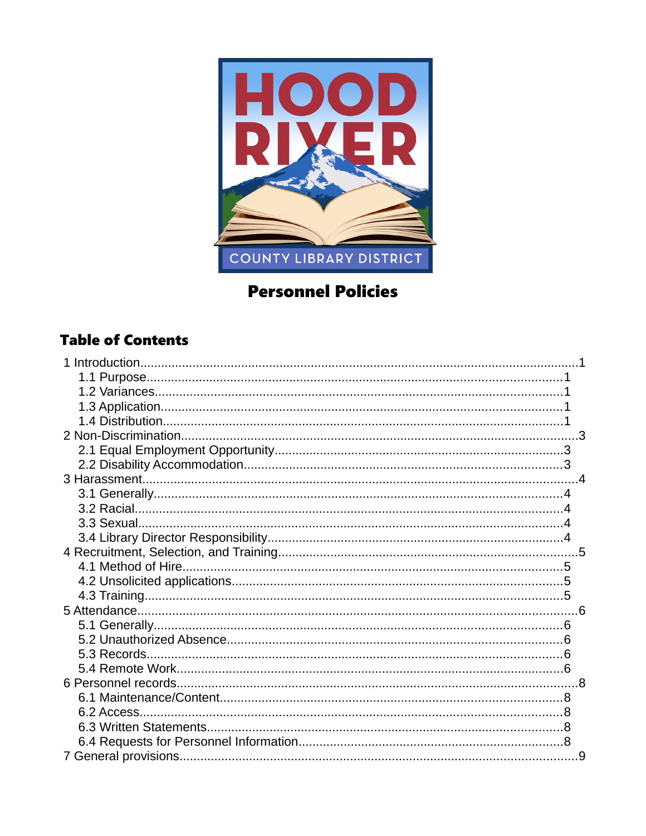

# **Personnel Policies**

### **Table of Contents**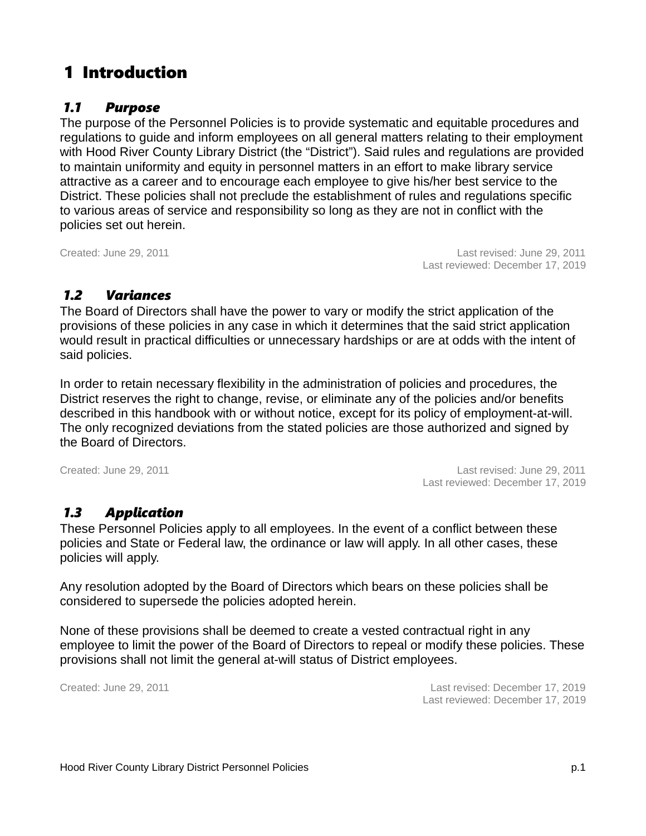# 1 Introduction

### *1.1 Purpose*

The purpose of the Personnel Policies is to provide systematic and equitable procedures and regulations to guide and inform employees on all general matters relating to their employment with Hood River County Library District (the "District"). Said rules and regulations are provided to maintain uniformity and equity in personnel matters in an effort to make library service attractive as a career and to encourage each employee to give his/her best service to the District. These policies shall not preclude the establishment of rules and regulations specific to various areas of service and responsibility so long as they are not in conflict with the policies set out herein.

Created: June 29, 2011 Last revised: June 29, 2011 Last reviewed: December 17, 2019

### *1.2 Variances*

The Board of Directors shall have the power to vary or modify the strict application of the provisions of these policies in any case in which it determines that the said strict application would result in practical difficulties or unnecessary hardships or are at odds with the intent of said policies.

In order to retain necessary flexibility in the administration of policies and procedures, the District reserves the right to change, revise, or eliminate any of the policies and/or benefits described in this handbook with or without notice, except for its policy of employment-at-will. The only recognized deviations from the stated policies are those authorized and signed by the Board of Directors.

Created: June 29, 2011 Last revised: June 29, 2011 Last reviewed: December 17, 2019

### *1.3 Application*

These Personnel Policies apply to all employees. In the event of a conflict between these policies and State or Federal law, the ordinance or law will apply. In all other cases, these policies will apply.

Any resolution adopted by the Board of Directors which bears on these policies shall be considered to supersede the policies adopted herein.

None of these provisions shall be deemed to create a vested contractual right in any employee to limit the power of the Board of Directors to repeal or modify these policies. These provisions shall not limit the general at-will status of District employees.

Created: June 29, 2011 Last revised: December 17, 2019 Last reviewed: December 17, 2019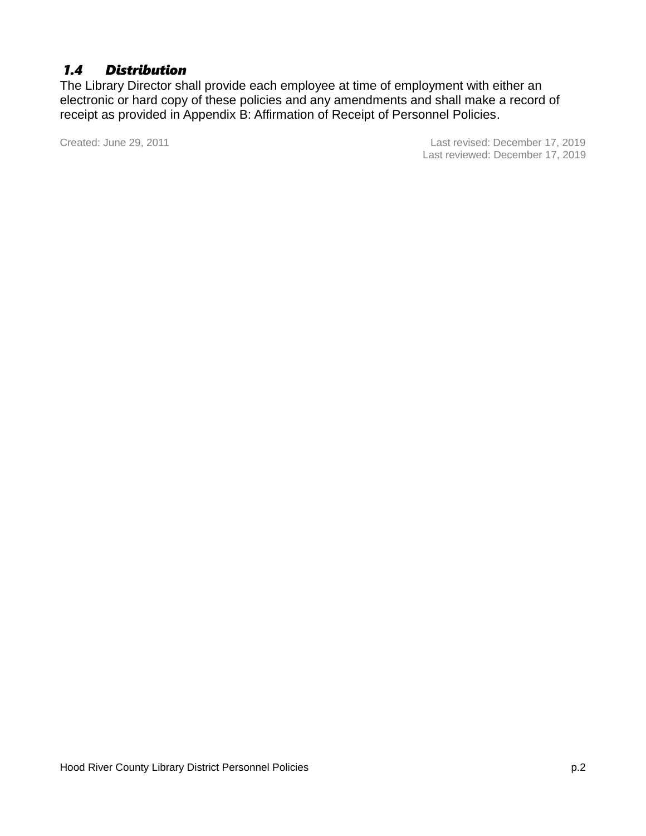### *1.4 Distribution*

The Library Director shall provide each employee at time of employment with either an electronic or hard copy of these policies and any amendments and shall make a record of receipt as provided in Appendix B: Affirmation of Receipt of Personnel Policies.

Created: June 29, 2011 Last revised: December 17, 2019 Last reviewed: December 17, 2019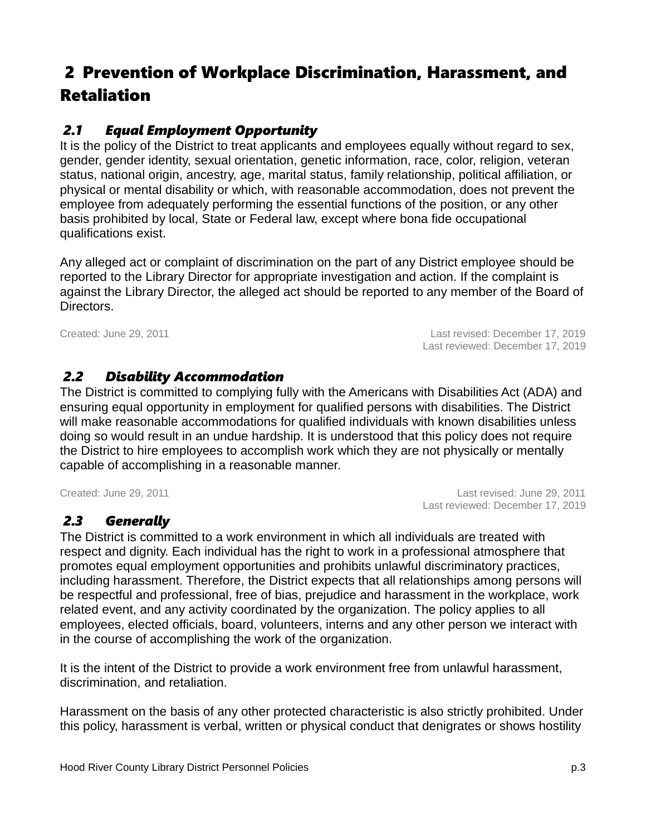# <span id="page-5-0"></span> 2 Prevention of Workplace Discrimination, Harassment, and Retaliation

### *2.1 Equal Employment Opportunity*

It is the policy of the District to treat applicants and employees equally without regard to sex, gender, gender identity, sexual orientation, genetic information, race, color, religion, veteran status, national origin, ancestry, age, marital status, family relationship, political affiliation, or physical or mental disability or which, with reasonable accommodation, does not prevent the employee from adequately performing the essential functions of the position, or any other basis prohibited by local, State or Federal law, except where bona fide occupational qualifications exist.

Any alleged act or complaint of discrimination on the part of any District employee should be reported to the Library Director for appropriate investigation and action. If the complaint is against the Library Director, the alleged act should be reported to any member of the Board of Directors.

Created: June 29, 2011 Last revised: December 17, 2019 Last reviewed: December 17, 2019

### *2.2 Disability Accommodation*

The District is committed to complying fully with the Americans with Disabilities Act (ADA) and ensuring equal opportunity in employment for qualified persons with disabilities. The District will make reasonable accommodations for qualified individuals with known disabilities unless doing so would result in an undue hardship. It is understood that this policy does not require the District to hire employees to accomplish work which they are not physically or mentally capable of accomplishing in a reasonable manner.

Created: June 29, 2011 Last revised: June 29, 2011 Last reviewed: December 17, 2019

### *2.3 Generally*

The District is committed to a work environment in which all individuals are treated with respect and dignity. Each individual has the right to work in a professional atmosphere that promotes equal employment opportunities and prohibits unlawful discriminatory practices, including harassment. Therefore, the District expects that all relationships among persons will be respectful and professional, free of bias, prejudice and harassment in the workplace, work related event, and any activity coordinated by the organization. The policy applies to all employees, elected officials, board, volunteers, interns and any other person we interact with in the course of accomplishing the work of the organization.

It is the intent of the District to provide a work environment free from unlawful harassment, discrimination, and retaliation.

Harassment on the basis of any other protected characteristic is also strictly prohibited. Under this policy, harassment is verbal, written or physical conduct that denigrates or shows hostility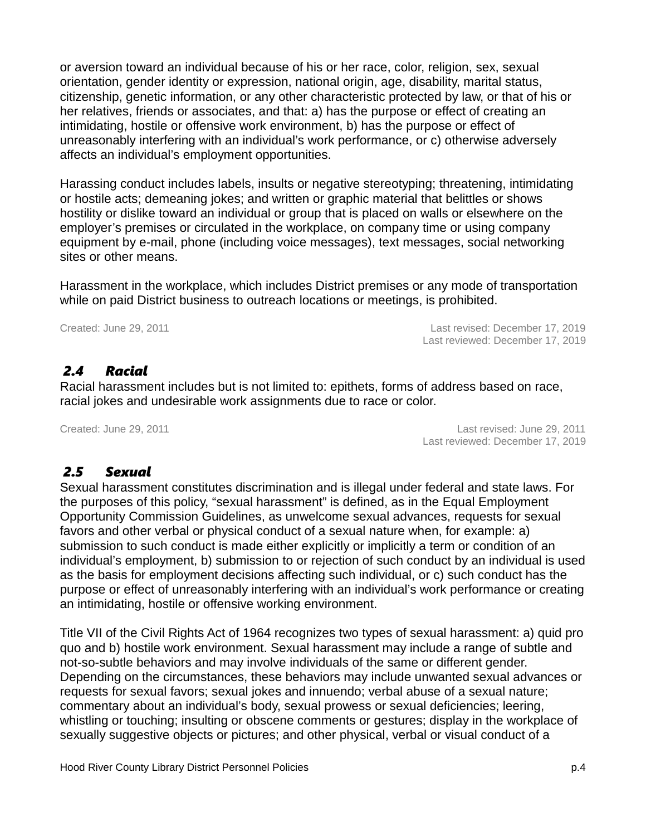or aversion toward an individual because of his or her race, color, religion, sex, sexual orientation, gender identity or expression, national origin, age, disability, marital status, citizenship, genetic information, or any other characteristic protected by law, or that of his or her relatives, friends or associates, and that: a) has the purpose or effect of creating an intimidating, hostile or offensive work environment, b) has the purpose or effect of unreasonably interfering with an individual's work performance, or c) otherwise adversely affects an individual's employment opportunities.

Harassing conduct includes labels, insults or negative stereotyping; threatening, intimidating or hostile acts; demeaning jokes; and written or graphic material that belittles or shows hostility or dislike toward an individual or group that is placed on walls or elsewhere on the employer's premises or circulated in the workplace, on company time or using company equipment by e-mail, phone (including voice messages), text messages, social networking sites or other means.

Harassment in the workplace, which includes District premises or any mode of transportation while on paid District business to outreach locations or meetings, is prohibited.

Created: June 29, 2011 Last revised: December 17, 2019 Last reviewed: December 17, 2019

### *2.4 Racial*

Racial harassment includes but is not limited to: epithets, forms of address based on race, racial jokes and undesirable work assignments due to race or color.

Created: June 29, 2011 Last revised: June 29, 2011 Last reviewed: December 17, 2019

### *2.5 Sexual*

Sexual harassment constitutes discrimination and is illegal under federal and state laws. For the purposes of this policy, "sexual harassment" is defined, as in the Equal Employment Opportunity Commission Guidelines, as unwelcome sexual advances, requests for sexual favors and other verbal or physical conduct of a sexual nature when, for example: a) submission to such conduct is made either explicitly or implicitly a term or condition of an individual's employment, b) submission to or rejection of such conduct by an individual is used as the basis for employment decisions affecting such individual, or c) such conduct has the purpose or effect of unreasonably interfering with an individual's work performance or creating an intimidating, hostile or offensive working environment.

Title VII of the Civil Rights Act of 1964 recognizes two types of sexual harassment: a) quid pro quo and b) hostile work environment. Sexual harassment may include a range of subtle and not-so-subtle behaviors and may involve individuals of the same or different gender. Depending on the circumstances, these behaviors may include unwanted sexual advances or requests for sexual favors; sexual jokes and innuendo; verbal abuse of a sexual nature; commentary about an individual's body, sexual prowess or sexual deficiencies; leering, whistling or touching; insulting or obscene comments or gestures; display in the workplace of sexually suggestive objects or pictures; and other physical, verbal or visual conduct of a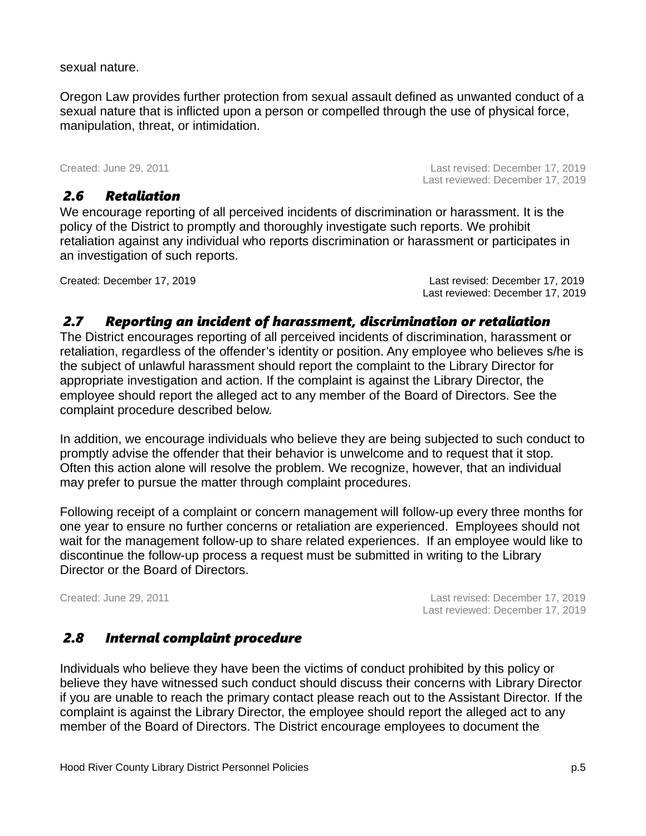sexual nature.

Oregon Law provides further protection from sexual assault defined as unwanted conduct of a sexual nature that is inflicted upon a person or compelled through the use of physical force, manipulation, threat, or intimidation.

Created: June 29, 2011 Last revised: December 17, 2019

### *2.6 Retaliation*

Last reviewed: December 17, 2019

We encourage reporting of all perceived incidents of discrimination or harassment. It is the policy of the District to promptly and thoroughly investigate such reports. We prohibit retaliation against any individual who reports discrimination or harassment or participates in an investigation of such reports.

Created: December 17, 2019 Last revised: December 17, 2019 Last reviewed: December 17, 2019

### *2.7 Reporting an incident of harassment, discrimination or retaliation*

The District encourages reporting of all perceived incidents of discrimination, harassment or retaliation, regardless of the offender's identity or position. Any employee who believes s/he is the subject of unlawful harassment should report the complaint to the Library Director for appropriate investigation and action. If the complaint is against the Library Director, the employee should report the alleged act to any member of the Board of Directors. See the complaint procedure described below.

In addition, we encourage individuals who believe they are being subjected to such conduct to promptly advise the offender that their behavior is unwelcome and to request that it stop. Often this action alone will resolve the problem. We recognize, however, that an individual may prefer to pursue the matter through complaint procedures.

Following receipt of a complaint or concern management will follow-up every three months for one year to ensure no further concerns or retaliation are experienced. Employees should not wait for the management follow-up to share related experiences. If an employee would like to discontinue the follow-up process a request must be submitted in writing to the Library Director or the Board of Directors.

Created: June 29, 2011 Last revised: December 17, 2019 Last reviewed: December 17, 2019

### *2.8 Internal complaint procedure*

Individuals who believe they have been the victims of conduct prohibited by this policy or believe they have witnessed such conduct should discuss their concerns with Library Director if you are unable to reach the primary contact please reach out to the Assistant Director. If the complaint is against the Library Director, the employee should report the alleged act to any member of the Board of Directors. The District encourage employees to document the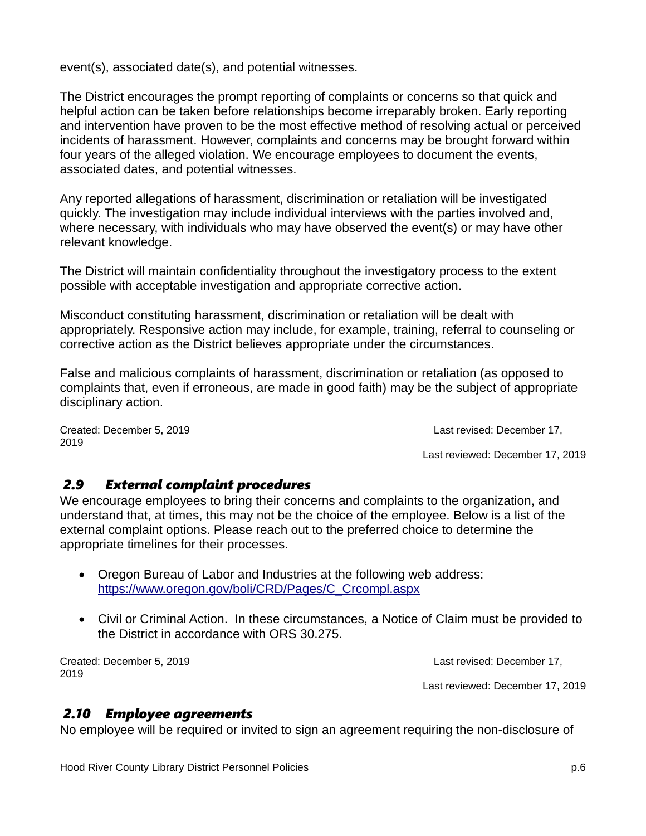event(s), associated date(s), and potential witnesses.

The District encourages the prompt reporting of complaints or concerns so that quick and helpful action can be taken before relationships become irreparably broken. Early reporting and intervention have proven to be the most effective method of resolving actual or perceived incidents of harassment. However, complaints and concerns may be brought forward within four years of the alleged violation. We encourage employees to document the events, associated dates, and potential witnesses.

Any reported allegations of harassment, discrimination or retaliation will be investigated quickly. The investigation may include individual interviews with the parties involved and, where necessary, with individuals who may have observed the event(s) or may have other relevant knowledge.

The District will maintain confidentiality throughout the investigatory process to the extent possible with acceptable investigation and appropriate corrective action.

Misconduct constituting harassment, discrimination or retaliation will be dealt with appropriately. Responsive action may include, for example, training, referral to counseling or corrective action as the District believes appropriate under the circumstances.

False and malicious complaints of harassment, discrimination or retaliation (as opposed to complaints that, even if erroneous, are made in good faith) may be the subject of appropriate disciplinary action.

Created: December 5, 2019 Last revised: December 17, 2019

Last reviewed: December 17, 2019

#### *2.9 External complaint procedures*

We encourage employees to bring their concerns and complaints to the organization, and understand that, at times, this may not be the choice of the employee. Below is a list of the external complaint options. Please reach out to the preferred choice to determine the appropriate timelines for their processes.

- Oregon Bureau of Labor and Industries at the following web address: [https://www.oregon.gov/boli/CRD/Pages/C\\_Crcompl.aspx](https://www.oregon.gov/boli/CRD/Pages/C_Crcompl.aspx)
- Civil or Criminal Action. In these circumstances, a Notice of Claim must be provided to the District in accordance with ORS 30.275.

Created: December 5, 2019 Last revised: December 17, 2019

Last reviewed: December 17, 2019

#### *2.10 Employee agreements*

No employee will be required or invited to sign an agreement requiring the non-disclosure of

Hood River County Library District Personnel Policies p.6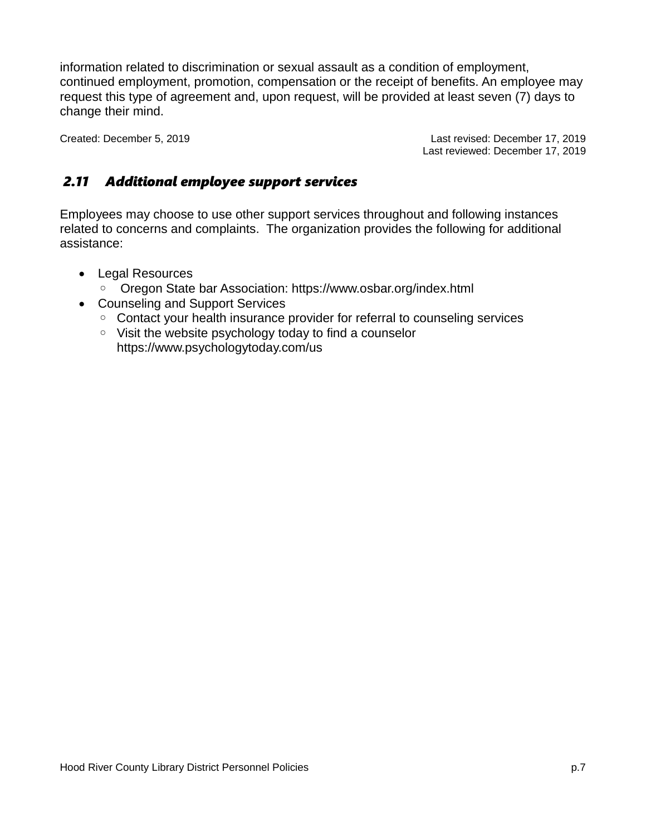information related to discrimination or sexual assault as a condition of employment, continued employment, promotion, compensation or the receipt of benefits. An employee may request this type of agreement and, upon request, will be provided at least seven (7) days to change their mind.

Created: December 5, 2019 Last revised: December 17, 2019 Last reviewed: December 17, 2019

### *2.11 Additional employee support services*

Employees may choose to use other support services throughout and following instances related to concerns and complaints. The organization provides the following for additional assistance:

- Legal Resources
	- Oregon State bar Association: https://www.osbar.org/index.html
- Counseling and Support Services
	- Contact your health insurance provider for referral to counseling services
	- Visit the website psychology today to find a counselor https://www.psychologytoday.com/us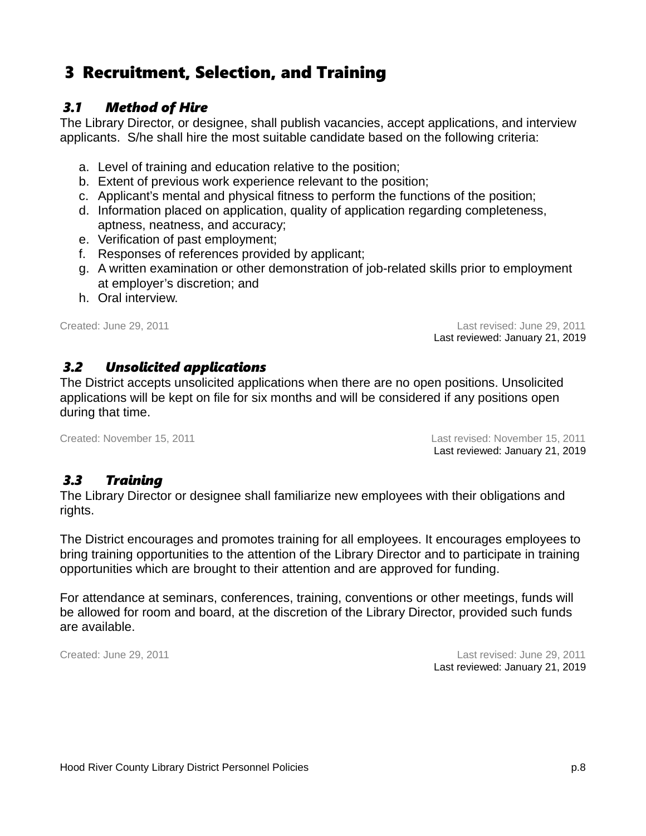# 3 Recruitment, Selection, and Training

### *3.1 Method of Hire*

The Library Director, or designee, shall publish vacancies, accept applications, and interview applicants. S/he shall hire the most suitable candidate based on the following criteria:

- a. Level of training and education relative to the position;
- b. Extent of previous work experience relevant to the position;
- c. Applicant's mental and physical fitness to perform the functions of the position;
- d. Information placed on application, quality of application regarding completeness, aptness, neatness, and accuracy;
- e. Verification of past employment;
- f. Responses of references provided by applicant;
- g. A written examination or other demonstration of job-related skills prior to employment at employer's discretion; and
- h. Oral interview.

Created: June 29, 2011 Last revised: June 29, 2011 Last reviewed: January 21, 2019

#### *3.2 Unsolicited applications*

The District accepts unsolicited applications when there are no open positions. Unsolicited applications will be kept on file for six months and will be considered if any positions open during that time.

Created: November 15, 2011 Last revised: November 15, 2011 Last reviewed: January 21, 2019

#### *3.3 Training*

The Library Director or designee shall familiarize new employees with their obligations and rights.

The District encourages and promotes training for all employees. It encourages employees to bring training opportunities to the attention of the Library Director and to participate in training opportunities which are brought to their attention and are approved for funding.

For attendance at seminars, conferences, training, conventions or other meetings, funds will be allowed for room and board, at the discretion of the Library Director, provided such funds are available.

Created: June 29, 2011 Last revised: June 29, 2011 Last reviewed: January 21, 2019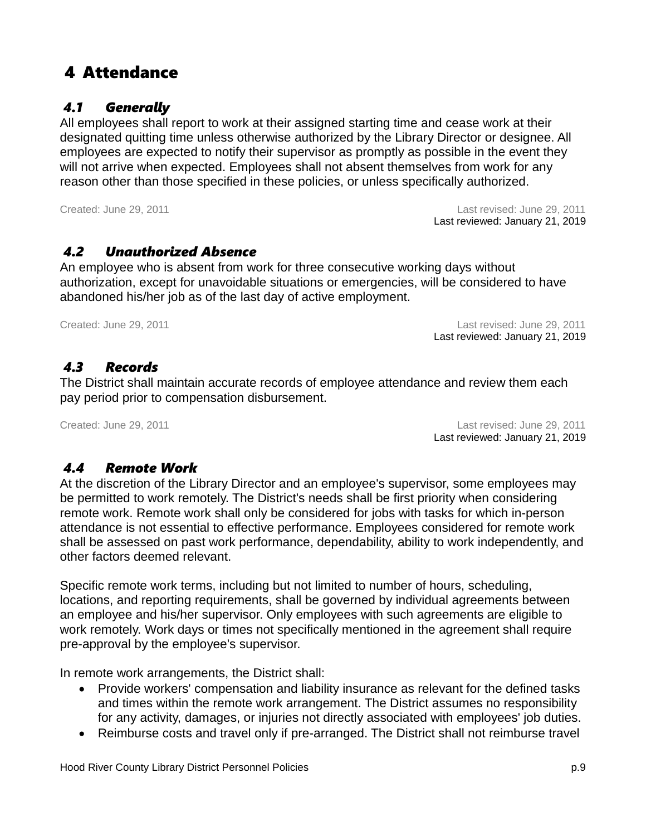4 Attendance

 *4.1 Generally*

designated quitting time unless otherwise authorized by the Library Director or designee. All employees are expected to notify their supervisor as promptly as possible in the event they will not arrive when expected. Employees shall not absent themselves from work for any reason other than those specified in these policies, or unless specifically authorized.

All employees shall report to work at their assigned starting time and cease work at their

Created: June 29, 2011 Last revised: June 29, 2011 Last reviewed: January 21, 2019

#### *4.2 Unauthorized Absence*

An employee who is absent from work for three consecutive working days without authorization, except for unavoidable situations or emergencies, will be considered to have abandoned his/her job as of the last day of active employment.

Created: June 29, 2011 Last revised: June 29, 2011 Last reviewed: January 21, 2019

#### *4.3 Records*

The District shall maintain accurate records of employee attendance and review them each pay period prior to compensation disbursement.

Created: June 29, 2011 Last revised: June 29, 2011 Last reviewed: January 21, 2019

#### *4.4 Remote Work*

At the discretion of the Library Director and an employee's supervisor, some employees may be permitted to work remotely. The District's needs shall be first priority when considering remote work. Remote work shall only be considered for jobs with tasks for which in-person attendance is not essential to effective performance. Employees considered for remote work shall be assessed on past work performance, dependability, ability to work independently, and other factors deemed relevant.

Specific remote work terms, including but not limited to number of hours, scheduling, locations, and reporting requirements, shall be governed by individual agreements between an employee and his/her supervisor. Only employees with such agreements are eligible to work remotely. Work days or times not specifically mentioned in the agreement shall require pre-approval by the employee's supervisor.

In remote work arrangements, the District shall:

- Provide workers' compensation and liability insurance as relevant for the defined tasks and times within the remote work arrangement. The District assumes no responsibility for any activity, damages, or injuries not directly associated with employees' job duties.
- Reimburse costs and travel only if pre-arranged. The District shall not reimburse travel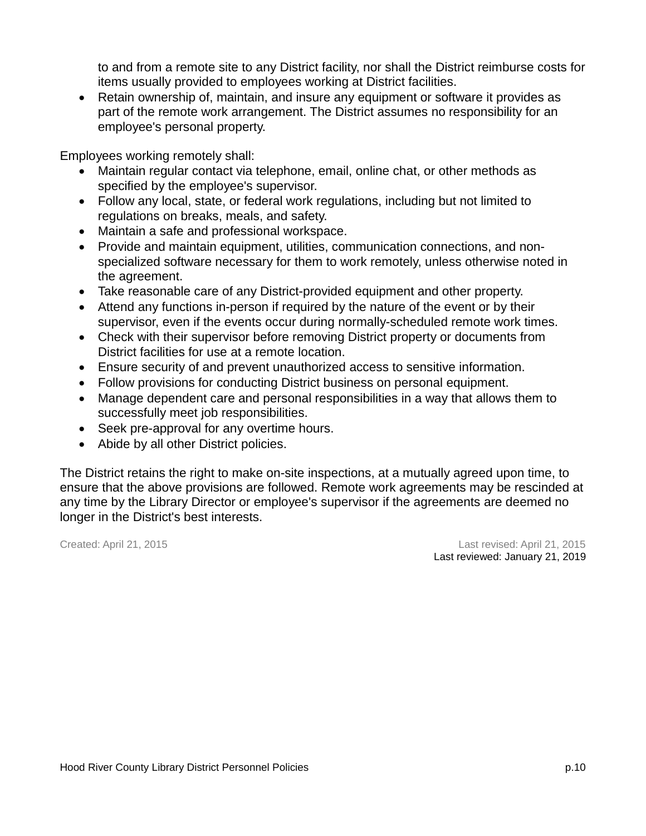to and from a remote site to any District facility, nor shall the District reimburse costs for items usually provided to employees working at District facilities.

 Retain ownership of, maintain, and insure any equipment or software it provides as part of the remote work arrangement. The District assumes no responsibility for an employee's personal property.

Employees working remotely shall:

- Maintain regular contact via telephone, email, online chat, or other methods as specified by the employee's supervisor.
- Follow any local, state, or federal work regulations, including but not limited to regulations on breaks, meals, and safety.
- Maintain a safe and professional workspace.
- Provide and maintain equipment, utilities, communication connections, and nonspecialized software necessary for them to work remotely, unless otherwise noted in the agreement.
- Take reasonable care of any District-provided equipment and other property.
- Attend any functions in-person if required by the nature of the event or by their supervisor, even if the events occur during normally-scheduled remote work times.
- Check with their supervisor before removing District property or documents from District facilities for use at a remote location.
- Ensure security of and prevent unauthorized access to sensitive information.
- Follow provisions for conducting District business on personal equipment.
- Manage dependent care and personal responsibilities in a way that allows them to successfully meet job responsibilities.
- Seek pre-approval for any overtime hours.
- Abide by all other District policies.

The District retains the right to make on-site inspections, at a mutually agreed upon time, to ensure that the above provisions are followed. Remote work agreements may be rescinded at any time by the Library Director or employee's supervisor if the agreements are deemed no longer in the District's best interests.

Created: April 21, 2015 Last revised: April 21, 2015 Last reviewed: January 21, 2019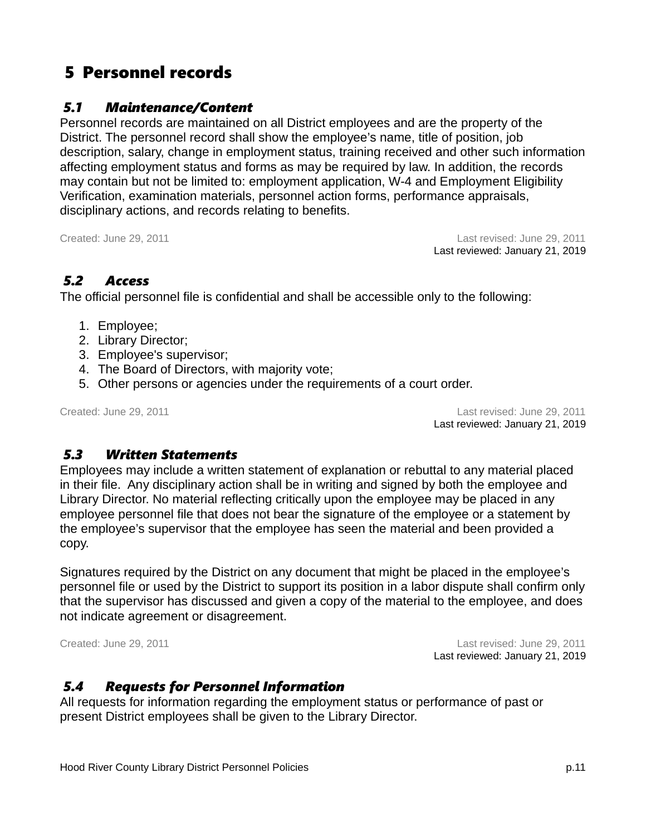# 5 Personnel records

### *5.1 Maintenance/Content*

Personnel records are maintained on all District employees and are the property of the District. The personnel record shall show the employee's name, title of position, job description, salary, change in employment status, training received and other such information affecting employment status and forms as may be required by law. In addition, the records may contain but not be limited to: employment application, W-4 and Employment Eligibility Verification, examination materials, personnel action forms, performance appraisals, disciplinary actions, and records relating to benefits.

Created: June 29, 2011 Last revised: June 29, 2011 Last reviewed: January 21, 2019

### *5.2 Access*

The official personnel file is confidential and shall be accessible only to the following:

- 1. Employee;
- 2. Library Director;
- 3. Employee's supervisor;
- 4. The Board of Directors, with majority vote;
- 5. Other persons or agencies under the requirements of a court order.

Created: June 29, 2011 Last revised: June 29, 2011 Last reviewed: January 21, 2019

### *5.3 Written Statements*

Employees may include a written statement of explanation or rebuttal to any material placed in their file. Any disciplinary action shall be in writing and signed by both the employee and Library Director. No material reflecting critically upon the employee may be placed in any employee personnel file that does not bear the signature of the employee or a statement by the employee's supervisor that the employee has seen the material and been provided a copy.

Signatures required by the District on any document that might be placed in the employee's personnel file or used by the District to support its position in a labor dispute shall confirm only that the supervisor has discussed and given a copy of the material to the employee, and does not indicate agreement or disagreement.

Created: June 29, 2011 Last revised: June 29, 2011 Last reviewed: January 21, 2019

### *5.4 Requests for Personnel Information*

All requests for information regarding the employment status or performance of past or present District employees shall be given to the Library Director.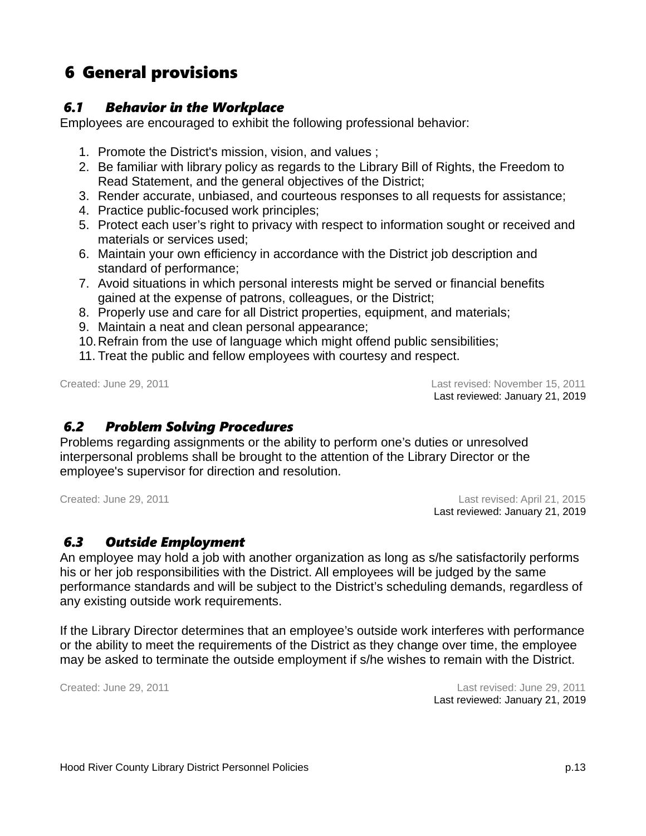# 6 General provisions

#### *6.1 Behavior in the Workplace*

Employees are encouraged to exhibit the following professional behavior:

- 1. Promote the District's mission, vision, and values ;
- 2. Be familiar with library policy as regards to the Library Bill of Rights, the Freedom to Read Statement, and the general objectives of the District;
- 3. Render accurate, unbiased, and courteous responses to all requests for assistance;
- 4. Practice public-focused work principles;
- 5. Protect each user's right to privacy with respect to information sought or received and materials or services used;
- 6. Maintain your own efficiency in accordance with the District job description and standard of performance;
- 7. Avoid situations in which personal interests might be served or financial benefits gained at the expense of patrons, colleagues, or the District;
- 8. Properly use and care for all District properties, equipment, and materials;
- 9. Maintain a neat and clean personal appearance;
- 10.Refrain from the use of language which might offend public sensibilities;
- 11. Treat the public and fellow employees with courtesy and respect.

Created: June 29, 2011 Last revised: November 15, 2011 Last reviewed: January 21, 2019

### *6.2 Problem Solving Procedures*

Problems regarding assignments or the ability to perform one's duties or unresolved interpersonal problems shall be brought to the attention of the Library Director or the employee's supervisor for direction and resolution.

Created: June 29, 2011 Last revised: April 21, 2015 Last reviewed: January 21, 2019

### *6.3 Outside Employment*

An employee may hold a job with another organization as long as s/he satisfactorily performs his or her job responsibilities with the District. All employees will be judged by the same performance standards and will be subject to the District's scheduling demands, regardless of any existing outside work requirements.

If the Library Director determines that an employee's outside work interferes with performance or the ability to meet the requirements of the District as they change over time, the employee may be asked to terminate the outside employment if s/he wishes to remain with the District.

Created: June 29, 2011 Last revised: June 29, 2011 Last reviewed: January 21, 2019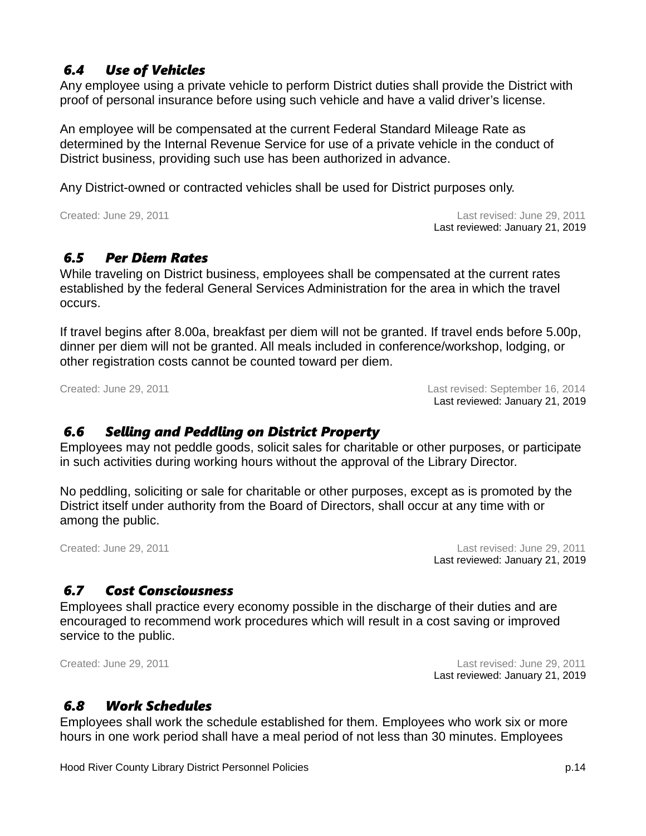### *6.4 Use of Vehicles*

Any employee using a private vehicle to perform District duties shall provide the District with proof of personal insurance before using such vehicle and have a valid driver's license.

An employee will be compensated at the current Federal Standard Mileage Rate as determined by the Internal Revenue Service for use of a private vehicle in the conduct of District business, providing such use has been authorized in advance.

Any District-owned or contracted vehicles shall be used for District purposes only.

Created: June 29, 2011 Last revised: June 29, 2011 Last reviewed: January 21, 2019

### *6.5 Per Diem Rates*

While traveling on District business, employees shall be compensated at the current rates established by the federal General Services Administration for the area in which the travel occurs.

If travel begins after 8.00a, breakfast per diem will not be granted. If travel ends before 5.00p, dinner per diem will not be granted. All meals included in conference/workshop, lodging, or other registration costs cannot be counted toward per diem.

Created: June 29, 2011 Last revised: September 16, 2014 Last reviewed: January 21, 2019

### *6.6 Selling and Peddling on District Property*

Employees may not peddle goods, solicit sales for charitable or other purposes, or participate in such activities during working hours without the approval of the Library Director.

No peddling, soliciting or sale for charitable or other purposes, except as is promoted by the District itself under authority from the Board of Directors, shall occur at any time with or among the public.

Created: June 29, 2011 Last revised: June 29, 2011 Last reviewed: January 21, 2019

### *6.7 Cost Consciousness*

Employees shall practice every economy possible in the discharge of their duties and are encouraged to recommend work procedures which will result in a cost saving or improved service to the public.

Created: June 29, 2011 Last revised: June 29, 2011 Last reviewed: January 21, 2019

### *6.8 Work Schedules*

Employees shall work the schedule established for them. Employees who work six or more hours in one work period shall have a meal period of not less than 30 minutes. Employees

Hood River County Library District Personnel Policies **p.14** and p.14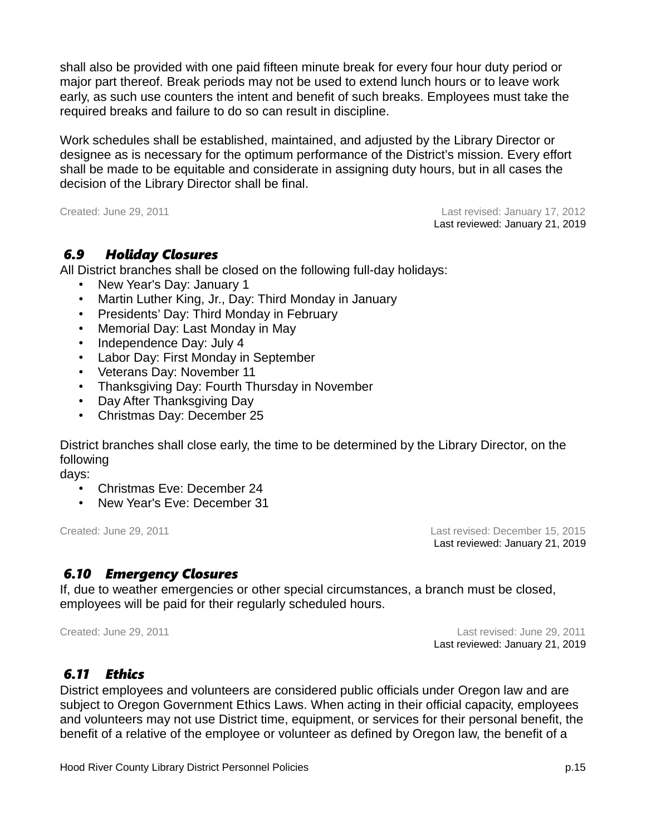shall also be provided with one paid fifteen minute break for every four hour duty period or major part thereof. Break periods may not be used to extend lunch hours or to leave work early, as such use counters the intent and benefit of such breaks. Employees must take the required breaks and failure to do so can result in discipline.

Work schedules shall be established, maintained, and adjusted by the Library Director or designee as is necessary for the optimum performance of the District's mission. Every effort shall be made to be equitable and considerate in assigning duty hours, but in all cases the decision of the Library Director shall be final.

Created: June 29, 2011 Last revised: January 17, 2012 Last reviewed: January 21, 2019

#### *6.9 Holiday Closures*

All District branches shall be closed on the following full-day holidays:

- New Year's Day: January 1
- Martin Luther King, Jr., Day: Third Monday in January
- Presidents' Day: Third Monday in February
- Memorial Day: Last Monday in May
- Independence Day: July 4
- Labor Day: First Monday in September
- Veterans Day: November 11
- Thanksgiving Day: Fourth Thursday in November
- Day After Thanksgiving Day
- Christmas Day: December 25

District branches shall close early, the time to be determined by the Library Director, on the following

days:

- Christmas Eve: December 24
- New Year's Eve: December 31

Created: June 29, 2011 Last revised: December 15, 2015 Last reviewed: January 21, 2019

#### *6.10 Emergency Closures*

If, due to weather emergencies or other special circumstances, a branch must be closed, employees will be paid for their regularly scheduled hours.

Created: June 29, 2011 Last revised: June 29, 2011 Last reviewed: January 21, 2019

### *6.11 Ethics*

District employees and volunteers are considered public officials under Oregon law and are subject to Oregon Government Ethics Laws. When acting in their official capacity, employees and volunteers may not use District time, equipment, or services for their personal benefit, the benefit of a relative of the employee or volunteer as defined by Oregon law, the benefit of a

Hood River County Library District Personnel Policies p.15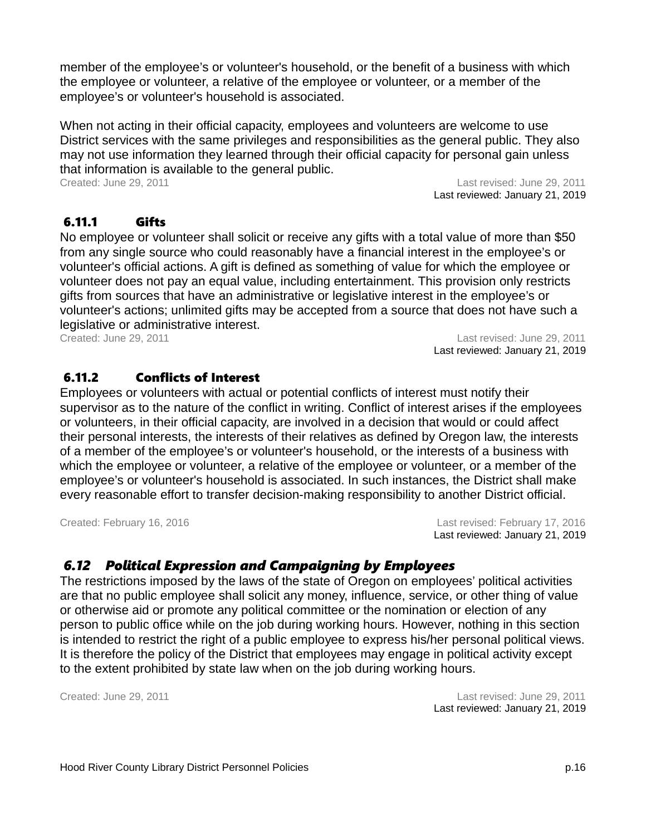member of the employee's or volunteer's household, or the benefit of a business with which the employee or volunteer, a relative of the employee or volunteer, or a member of the employee's or volunteer's household is associated.

When not acting in their official capacity, employees and volunteers are welcome to use District services with the same privileges and responsibilities as the general public. They also may not use information they learned through their official capacity for personal gain unless that information is available to the general public.

Created: June 29, 2011 Last revised: June 29, 2011 Last reviewed: January 21, 2019

#### 6.11.1 Gifts

No employee or volunteer shall solicit or receive any gifts with a total value of more than \$50 from any single source who could reasonably have a financial interest in the employee's or volunteer's official actions. A gift is defined as something of value for which the employee or volunteer does not pay an equal value, including entertainment. This provision only restricts gifts from sources that have an administrative or legislative interest in the employee's or volunteer's actions; unlimited gifts may be accepted from a source that does not have such a legislative or administrative interest.

Created: June 29, 2011 Last revised: June 29, 2011 Last reviewed: January 21, 2019

#### 6.11.2 Conflicts of Interest

Employees or volunteers with actual or potential conflicts of interest must notify their supervisor as to the nature of the conflict in writing. Conflict of interest arises if the employees or volunteers, in their official capacity, are involved in a decision that would or could affect their personal interests, the interests of their relatives as defined by Oregon law, the interests of a member of the employee's or volunteer's household, or the interests of a business with which the employee or volunteer, a relative of the employee or volunteer, or a member of the employee's or volunteer's household is associated. In such instances, the District shall make every reasonable effort to transfer decision-making responsibility to another District official.

Created: February 16, 2016 Last revised: February 17, 2016 Last reviewed: January 21, 2019

### *6.12 Political Expression and Campaigning by Employees*

The restrictions imposed by the laws of the state of Oregon on employees' political activities are that no public employee shall solicit any money, influence, service, or other thing of value or otherwise aid or promote any political committee or the nomination or election of any person to public office while on the job during working hours. However, nothing in this section is intended to restrict the right of a public employee to express his/her personal political views. It is therefore the policy of the District that employees may engage in political activity except to the extent prohibited by state law when on the job during working hours.

Created: June 29, 2011 Last revised: June 29, 2011 Last reviewed: January 21, 2019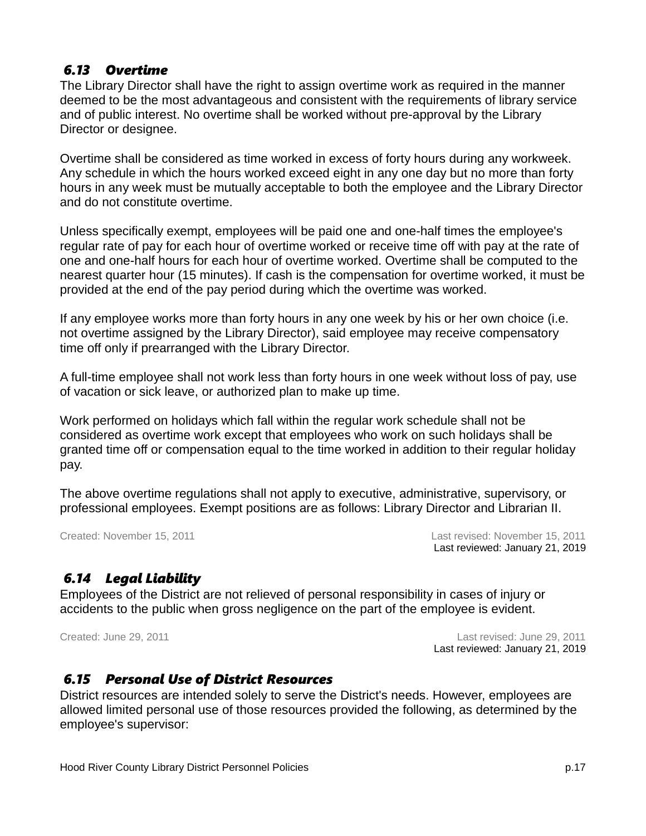### *6.13 Overtime*

The Library Director shall have the right to assign overtime work as required in the manner deemed to be the most advantageous and consistent with the requirements of library service and of public interest. No overtime shall be worked without pre-approval by the Library Director or designee.

Overtime shall be considered as time worked in excess of forty hours during any workweek. Any schedule in which the hours worked exceed eight in any one day but no more than forty hours in any week must be mutually acceptable to both the employee and the Library Director and do not constitute overtime.

Unless specifically exempt, employees will be paid one and one-half times the employee's regular rate of pay for each hour of overtime worked or receive time off with pay at the rate of one and one-half hours for each hour of overtime worked. Overtime shall be computed to the nearest quarter hour (15 minutes). If cash is the compensation for overtime worked, it must be provided at the end of the pay period during which the overtime was worked.

If any employee works more than forty hours in any one week by his or her own choice (i.e. not overtime assigned by the Library Director), said employee may receive compensatory time off only if prearranged with the Library Director.

A full-time employee shall not work less than forty hours in one week without loss of pay, use of vacation or sick leave, or authorized plan to make up time.

Work performed on holidays which fall within the regular work schedule shall not be considered as overtime work except that employees who work on such holidays shall be granted time off or compensation equal to the time worked in addition to their regular holiday pay.

The above overtime regulations shall not apply to executive, administrative, supervisory, or professional employees. Exempt positions are as follows: Library Director and Librarian II.

Created: November 15, 2011 Last revised: November 15, 2011 Last reviewed: January 21, 2019

### *6.14 Legal Liability*

Employees of the District are not relieved of personal responsibility in cases of injury or accidents to the public when gross negligence on the part of the employee is evident.

Created: June 29, 2011 Last revised: June 29, 2011 Last reviewed: January 21, 2019

#### *6.15 Personal Use of District Resources*

District resources are intended solely to serve the District's needs. However, employees are allowed limited personal use of those resources provided the following, as determined by the employee's supervisor: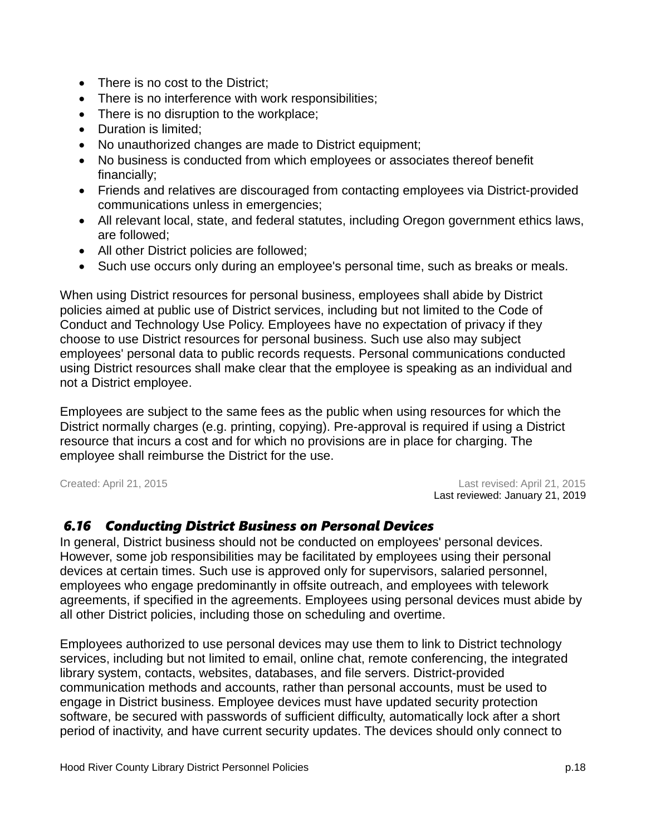- There is no cost to the District:
- There is no interference with work responsibilities;
- There is no disruption to the workplace;
- Duration is limited:
- No unauthorized changes are made to District equipment;
- No business is conducted from which employees or associates thereof benefit financially;
- Friends and relatives are discouraged from contacting employees via District-provided communications unless in emergencies;
- All relevant local, state, and federal statutes, including Oregon government ethics laws, are followed;
- All other District policies are followed;
- Such use occurs only during an employee's personal time, such as breaks or meals.

When using District resources for personal business, employees shall abide by District policies aimed at public use of District services, including but not limited to the Code of Conduct and Technology Use Policy. Employees have no expectation of privacy if they choose to use District resources for personal business. Such use also may subject employees' personal data to public records requests. Personal communications conducted using District resources shall make clear that the employee is speaking as an individual and not a District employee.

Employees are subject to the same fees as the public when using resources for which the District normally charges (e.g. printing, copying). Pre-approval is required if using a District resource that incurs a cost and for which no provisions are in place for charging. The employee shall reimburse the District for the use.

Created: April 21, 2015 Last revised: April 21, 2015 Last reviewed: January 21, 2019

#### *6.16 Conducting District Business on Personal Devices*

In general, District business should not be conducted on employees' personal devices. However, some job responsibilities may be facilitated by employees using their personal devices at certain times. Such use is approved only for supervisors, salaried personnel, employees who engage predominantly in offsite outreach, and employees with telework agreements, if specified in the agreements. Employees using personal devices must abide by all other District policies, including those on scheduling and overtime.

Employees authorized to use personal devices may use them to link to District technology services, including but not limited to email, online chat, remote conferencing, the integrated library system, contacts, websites, databases, and file servers. District-provided communication methods and accounts, rather than personal accounts, must be used to engage in District business. Employee devices must have updated security protection software, be secured with passwords of sufficient difficulty, automatically lock after a short period of inactivity, and have current security updates. The devices should only connect to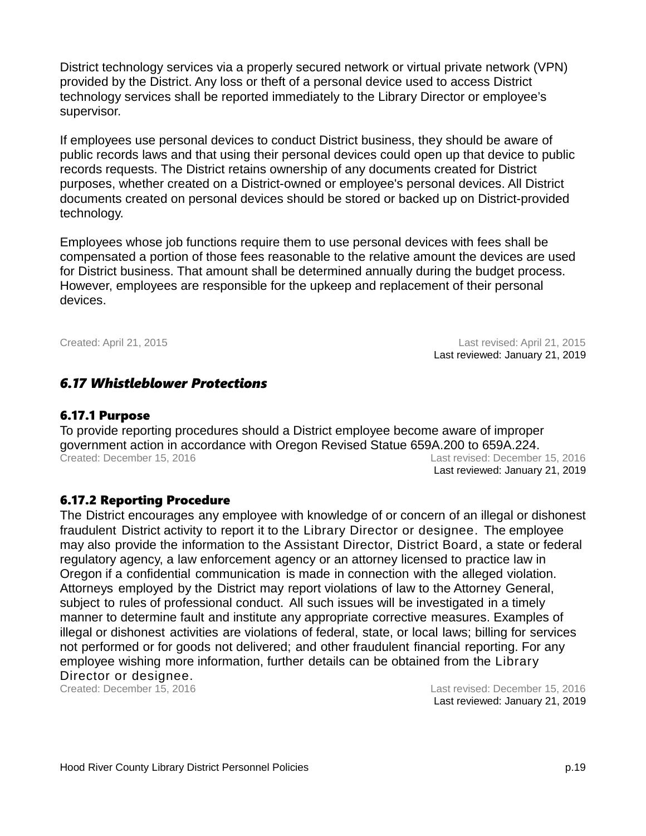District technology services via a properly secured network or virtual private network (VPN) provided by the District. Any loss or theft of a personal device used to access District technology services shall be reported immediately to the Library Director or employee's supervisor.

If employees use personal devices to conduct District business, they should be aware of public records laws and that using their personal devices could open up that device to public records requests. The District retains ownership of any documents created for District purposes, whether created on a District-owned or employee's personal devices. All District documents created on personal devices should be stored or backed up on District-provided technology.

Employees whose job functions require them to use personal devices with fees shall be compensated a portion of those fees reasonable to the relative amount the devices are used for District business. That amount shall be determined annually during the budget process. However, employees are responsible for the upkeep and replacement of their personal devices.

Created: April 21, 2015 Last revised: April 21, 2015 Last reviewed: January 21, 2019

#### *6.17 Whistleblower Protections*

#### 6.17.1 Purpose

To provide reporting procedures should a District employee become aware of improper government action in accordance with Oregon Revised Statue 659A.200 to 659A.224. Created: December 15, 2016 Last revised: December 15, 2016 Last reviewed: January 21, 2019

#### 6.17.2 Reporting Procedure

The District encourages any employee with knowledge of or concern of an illegal or dishonest fraudulent District activity to report it to the Library Director or designee. The employee may also provide the information to the Assistant Director, District Board, a state or federal regulatory agency, a law enforcement agency or an attorney licensed to practice law in Oregon if a confidential communication is made in connection with the alleged violation. Attorneys employed by the District may report violations of law to the Attorney General, subject to rules of professional conduct. All such issues will be investigated in a timely manner to determine fault and institute any appropriate corrective measures. Examples of illegal or dishonest activities are violations of federal, state, or local laws; billing for services not performed or for goods not delivered; and other fraudulent financial reporting. For any employee wishing more information, further details can be obtained from the Library Director or designee. Created: December 15, 2016 Last revised: December 15, 2016

Last reviewed: January 21, 2019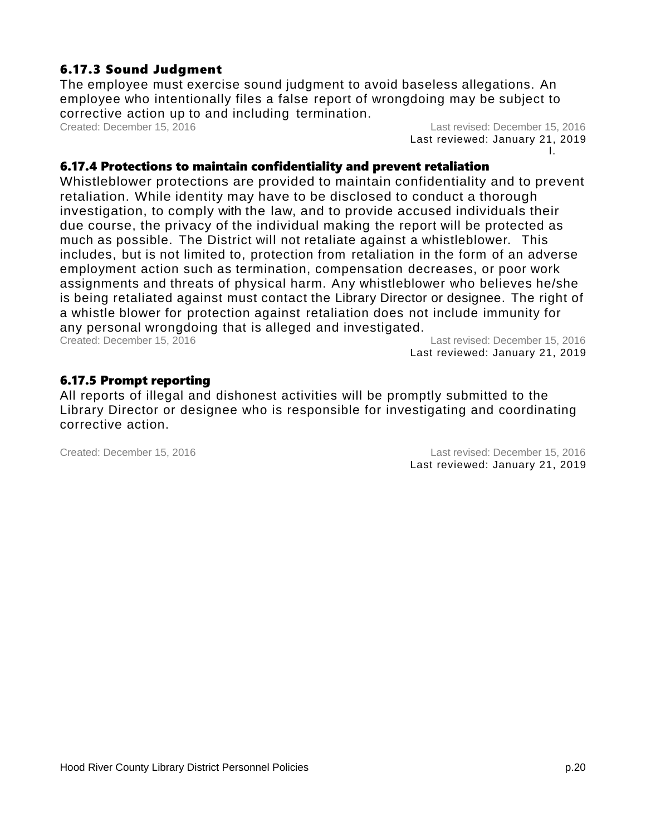### 6.17.3 Sound Judgment

The employee must exercise sound judgment to avoid baseless allegations. An employee who intentionally files a false report of wrongdoing may be subject to corrective action up to and including termination.<br>Created: December 15, 2016

Last revised: December 15, 2016 Last reviewed: January 21, 2019 I.

#### 6.17.4 Protections to maintain confidentiality and prevent retaliation

Whistleblower protections are provided to maintain confidentiality and to prevent retaliation. While identity may have to be disclosed to conduct a thorough investigation, to comply with the law, and to provide accused individuals their due course, the privacy of the individual making the report will be protected as much as possible. The District will not retaliate against a whistleblower. This includes, but is not limited to, protection from retaliation in the form of an adverse employment action such as termination, compensation decreases, or poor work assignments and threats of physical harm. Any whistleblower who believes he/she is being retaliated against must contact the Library Director or designee. The right of a whistle blower for protection against retaliation does not include immunity for any personal wrongdoing that is alleged and investigated.

Created: December 15, 2016 Last revised: December 15, 2016 Last reviewed: January 21, 2019

#### 6.17.5 Prompt reporting

All reports of illegal and dishonest activities will be promptly submitted to the Library Director or designee who is responsible for investigating and coordinating corrective action.

Created: December 15, 2016 Last revised: December 15, 2016 Last reviewed: January 21, 2019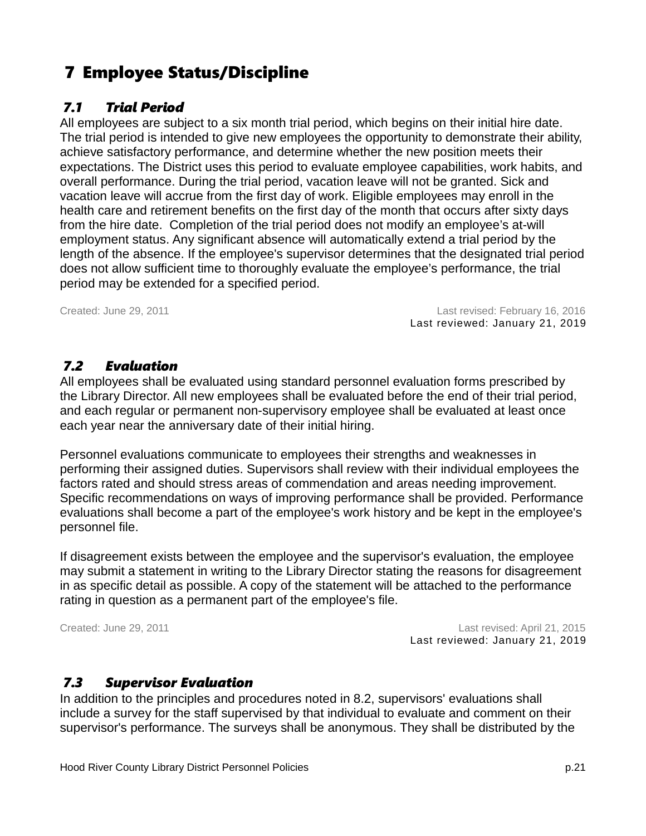# 7 Employee Status/Discipline

### <span id="page-23-0"></span> *7.1 Trial Period*

All employees are subject to a six month trial period, which begins on their initial hire date. The trial period is intended to give new employees the opportunity to demonstrate their ability, achieve satisfactory performance, and determine whether the new position meets their expectations. The District uses this period to evaluate employee capabilities, work habits, and overall performance. During the trial period, vacation leave will not be granted. Sick and vacation leave will accrue from the first day of work. Eligible employees may enroll in the health care and retirement benefits on the first day of the month that occurs after sixty days from the hire date. Completion of the trial period does not modify an employee's at-will employment status. Any significant absence will automatically extend a trial period by the length of the absence. If the employee's supervisor determines that the designated trial period does not allow sufficient time to thoroughly evaluate the employee's performance, the trial period may be extended for a specified period.

Created: June 29, 2011 Last revised: February 16, 2016 Last reviewed: January 21, 2019

### *7.2 Evaluation*

All employees shall be evaluated using standard personnel evaluation forms prescribed by the Library Director. All new employees shall be evaluated before the end of their trial period, and each regular or permanent non-supervisory employee shall be evaluated at least once each year near the anniversary date of their initial hiring.

Personnel evaluations communicate to employees their strengths and weaknesses in performing their assigned duties. Supervisors shall review with their individual employees the factors rated and should stress areas of commendation and areas needing improvement. Specific recommendations on ways of improving performance shall be provided. Performance evaluations shall become a part of the employee's work history and be kept in the employee's personnel file.

If disagreement exists between the employee and the supervisor's evaluation, the employee may submit a statement in writing to the Library Director stating the reasons for disagreement in as specific detail as possible. A copy of the statement will be attached to the performance rating in question as a permanent part of the employee's file.

Created: June 29, 2011 Last revised: April 21, 2015 Last reviewed: January 21, 2019

### *7.3 Supervisor Evaluation*

In addition to the principles and procedures noted in 8.2, supervisors' evaluations shall include a survey for the staff supervised by that individual to evaluate and comment on their supervisor's performance. The surveys shall be anonymous. They shall be distributed by the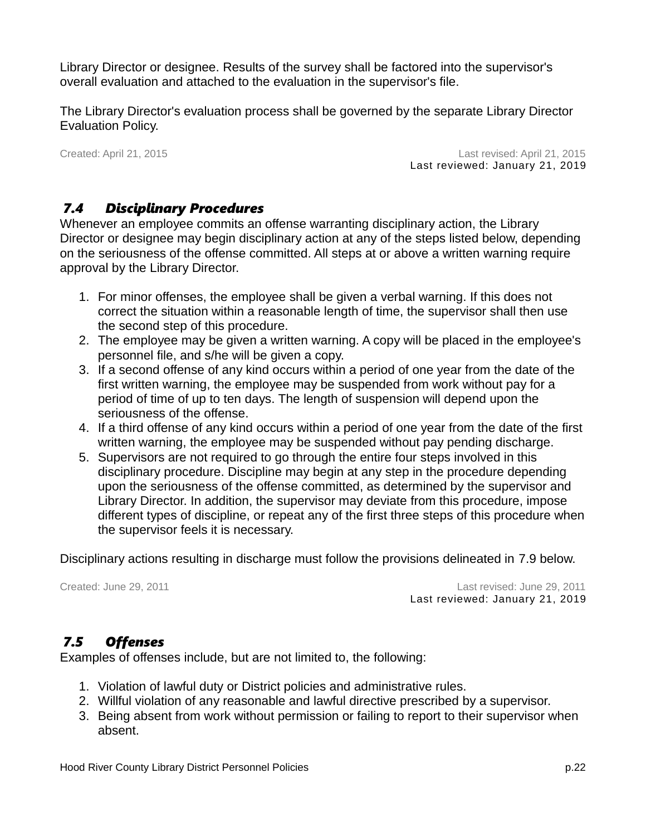Library Director or designee. Results of the survey shall be factored into the supervisor's overall evaluation and attached to the evaluation in the supervisor's file.

The Library Director's evaluation process shall be governed by the separate Library Director Evaluation Policy.

Created: April 21, 2015 Last revised: April 21, 2015 Last reviewed: January 21, 2019

### *7.4 Disciplinary Procedures*

Whenever an employee commits an offense warranting disciplinary action, the Library Director or designee may begin disciplinary action at any of the steps listed below, depending on the seriousness of the offense committed. All steps at or above a written warning require approval by the Library Director.

- 1. For minor offenses, the employee shall be given a verbal warning. If this does not correct the situation within a reasonable length of time, the supervisor shall then use the second step of this procedure.
- 2. The employee may be given a written warning. A copy will be placed in the employee's personnel file, and s/he will be given a copy.
- 3. If a second offense of any kind occurs within a period of one year from the date of the first written warning, the employee may be suspended from work without pay for a period of time of up to ten days. The length of suspension will depend upon the seriousness of the offense.
- 4. If a third offense of any kind occurs within a period of one year from the date of the first written warning, the employee may be suspended without pay pending discharge.
- 5. Supervisors are not required to go through the entire four steps involved in this disciplinary procedure. Discipline may begin at any step in the procedure depending upon the seriousness of the offense committed, as determined by the supervisor and Library Director. In addition, the supervisor may deviate from this procedure, impose different types of discipline, or repeat any of the first three steps of this procedure when the supervisor feels it is necessary.

Disciplinary actions resulting in discharge must follow the provisions delineated in [7.9](#page-26-0) below.

Created: June 29, 2011 Last revised: June 29, 2011 Last reviewed: January 21, 2019

### *7.5 Offenses*

Examples of offenses include, but are not limited to, the following:

- 1. Violation of lawful duty or District policies and administrative rules.
- 2. Willful violation of any reasonable and lawful directive prescribed by a supervisor.
- 3. Being absent from work without permission or failing to report to their supervisor when absent.

Hood River County Library District Personnel Policies p.22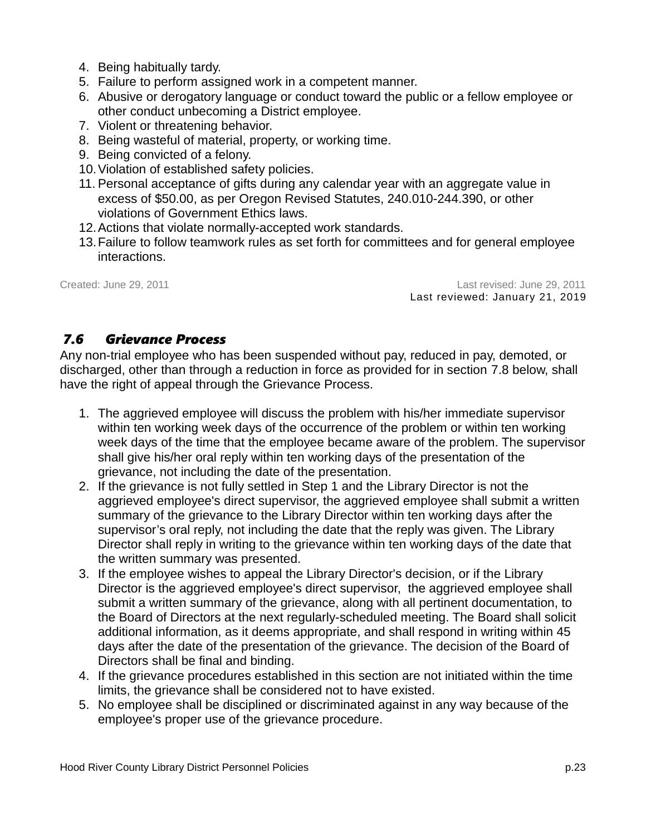- 4. Being habitually tardy.
- 5. Failure to perform assigned work in a competent manner.
- 6. Abusive or derogatory language or conduct toward the public or a fellow employee or other conduct unbecoming a District employee.
- 7. Violent or threatening behavior.
- 8. Being wasteful of material, property, or working time.
- 9. Being convicted of a felony.
- 10.Violation of established safety policies.
- 11. Personal acceptance of gifts during any calendar year with an aggregate value in excess of \$50.00, as per Oregon Revised Statutes, 240.010-244.390, or other violations of Government Ethics laws.
- 12.Actions that violate normally-accepted work standards.
- 13.Failure to follow teamwork rules as set forth for committees and for general employee interactions.

Created: June 29, 2011 Last revised: June 29, 2011 Last reviewed: January 21, 2019

### *7.6 Grievance Process*

Any non-trial employee who has been suspended without pay, reduced in pay, demoted, or discharged, other than through a reduction in force as provided for in section [7.8](#page-26-1) below, shall have the right of appeal through the Grievance Process.

- 1. The aggrieved employee will discuss the problem with his/her immediate supervisor within ten working week days of the occurrence of the problem or within ten working week days of the time that the employee became aware of the problem. The supervisor shall give his/her oral reply within ten working days of the presentation of the grievance, not including the date of the presentation.
- 2. If the grievance is not fully settled in Step 1 and the Library Director is not the aggrieved employee's direct supervisor, the aggrieved employee shall submit a written summary of the grievance to the Library Director within ten working days after the supervisor's oral reply, not including the date that the reply was given. The Library Director shall reply in writing to the grievance within ten working days of the date that the written summary was presented.
- 3. If the employee wishes to appeal the Library Director's decision, or if the Library Director is the aggrieved employee's direct supervisor, the aggrieved employee shall submit a written summary of the grievance, along with all pertinent documentation, to the Board of Directors at the next regularly-scheduled meeting. The Board shall solicit additional information, as it deems appropriate, and shall respond in writing within 45 days after the date of the presentation of the grievance. The decision of the Board of Directors shall be final and binding.
- 4. If the grievance procedures established in this section are not initiated within the time limits, the grievance shall be considered not to have existed.
- 5. No employee shall be disciplined or discriminated against in any way because of the employee's proper use of the grievance procedure.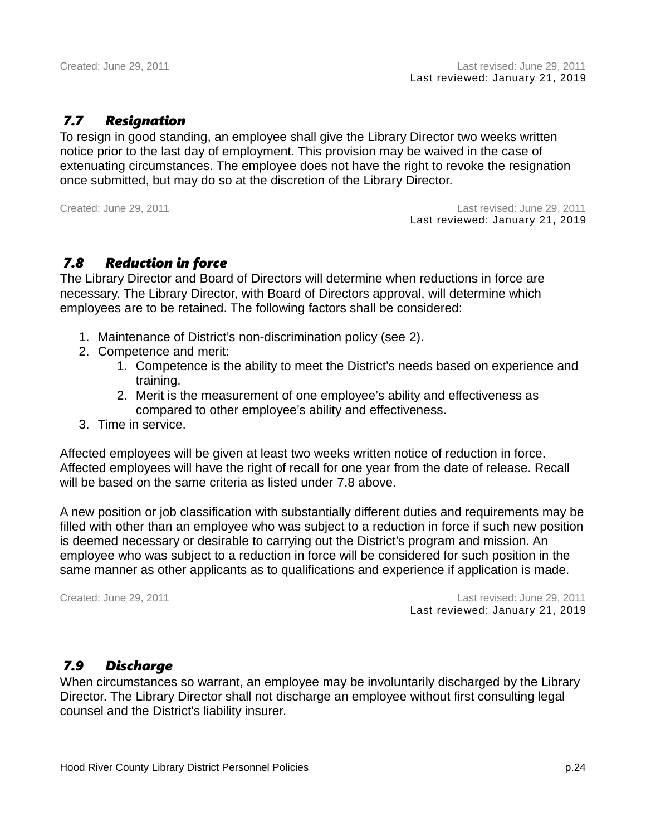### *7.7 Resignation*

To resign in good standing, an employee shall give the Library Director two weeks written notice prior to the last day of employment. This provision may be waived in the case of extenuating circumstances. The employee does not have the right to revoke the resignation once submitted, but may do so at the discretion of the Library Director.

Created: June 29, 2011 Last revised: June 29, 2011 Last reviewed: January 21, 2019

#### <span id="page-26-1"></span> *7.8 Reduction in force*

The Library Director and Board of Directors will determine when reductions in force are necessary. The Library Director, with Board of Directors approval, will determine which employees are to be retained. The following factors shall be considered:

- 1. Maintenance of District's non-discrimination policy (see [2\)](#page-5-0).
- 2. Competence and merit:
	- 1. Competence is the ability to meet the District's needs based on experience and training.
	- 2. Merit is the measurement of one employee's ability and effectiveness as compared to other employee's ability and effectiveness.
- 3. Time in service.

Affected employees will be given at least two weeks written notice of reduction in force. Affected employees will have the right of recall for one year from the date of release. Recall will be based on the same criteria as listed under [7.8](#page-26-1) [above.](#page-26-1)

A new position or job classification with substantially different duties and requirements may be filled with other than an employee who was subject to a reduction in force if such new position is deemed necessary or desirable to carrying out the District's program and mission. An employee who was subject to a reduction in force will be considered for such position in the same manner as other applicants as to qualifications and experience if application is made.

Created: June 29, 2011 Last revised: June 29, 2011 Last reviewed: January 21, 2019

#### <span id="page-26-0"></span> *7.9 Discharge*

When circumstances so warrant, an employee may be involuntarily discharged by the Library Director. The Library Director shall not discharge an employee without first consulting legal counsel and the District's liability insurer.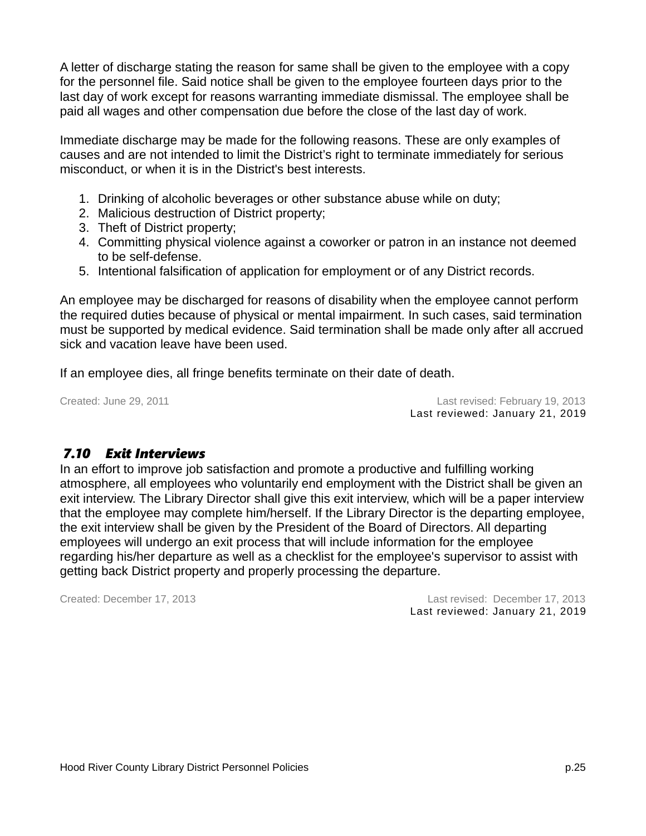A letter of discharge stating the reason for same shall be given to the employee with a copy for the personnel file. Said notice shall be given to the employee fourteen days prior to the last day of work except for reasons warranting immediate dismissal. The employee shall be paid all wages and other compensation due before the close of the last day of work.

Immediate discharge may be made for the following reasons. These are only examples of causes and are not intended to limit the District's right to terminate immediately for serious misconduct, or when it is in the District's best interests.

- 1. Drinking of alcoholic beverages or other substance abuse while on duty;
- 2. Malicious destruction of District property;
- 3. Theft of District property;
- 4. Committing physical violence against a coworker or patron in an instance not deemed to be self-defense.
- 5. Intentional falsification of application for employment or of any District records.

An employee may be discharged for reasons of disability when the employee cannot perform the required duties because of physical or mental impairment. In such cases, said termination must be supported by medical evidence. Said termination shall be made only after all accrued sick and vacation leave have been used.

If an employee dies, all fringe benefits terminate on their date of death.

Created: June 29, 2011 Last revised: February 19, 2013 Last reviewed: January 21, 2019

### *7.10 Exit Interviews*

In an effort to improve job satisfaction and promote a productive and fulfilling working atmosphere, all employees who voluntarily end employment with the District shall be given an exit interview. The Library Director shall give this exit interview, which will be a paper interview that the employee may complete him/herself. If the Library Director is the departing employee, the exit interview shall be given by the President of the Board of Directors. All departing employees will undergo an exit process that will include information for the employee regarding his/her departure as well as a checklist for the employee's supervisor to assist with getting back District property and properly processing the departure.

Created: December 17, 2013 Last revised: December 17, 2013 Last reviewed: January 21, 2019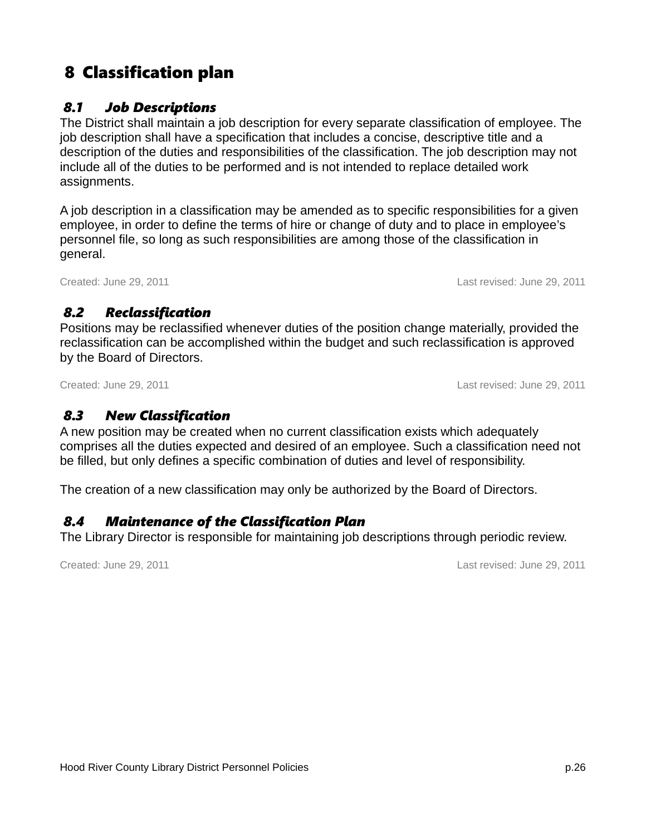# 8 Classification plan

### *8.1 Job Descriptions*

The District shall maintain a job description for every separate classification of employee. The job description shall have a specification that includes a concise, descriptive title and a description of the duties and responsibilities of the classification. The job description may not include all of the duties to be performed and is not intended to replace detailed work assignments.

A job description in a classification may be amended as to specific responsibilities for a given employee, in order to define the terms of hire or change of duty and to place in employee's personnel file, so long as such responsibilities are among those of the classification in general.

Created: June 29, 2011 Last revised: June 29, 2011

### *8.2 Reclassification*

Positions may be reclassified whenever duties of the position change materially, provided the reclassification can be accomplished within the budget and such reclassification is approved by the Board of Directors.

Created: June 29, 2011 Last revised: June 29, 2011

### *8.3 New Classification*

A new position may be created when no current classification exists which adequately comprises all the duties expected and desired of an employee. Such a classification need not be filled, but only defines a specific combination of duties and level of responsibility.

The creation of a new classification may only be authorized by the Board of Directors.

### *8.4 Maintenance of the Classification Plan*

The Library Director is responsible for maintaining job descriptions through periodic review.

Created: June 29, 2011 Last revised: June 29, 2011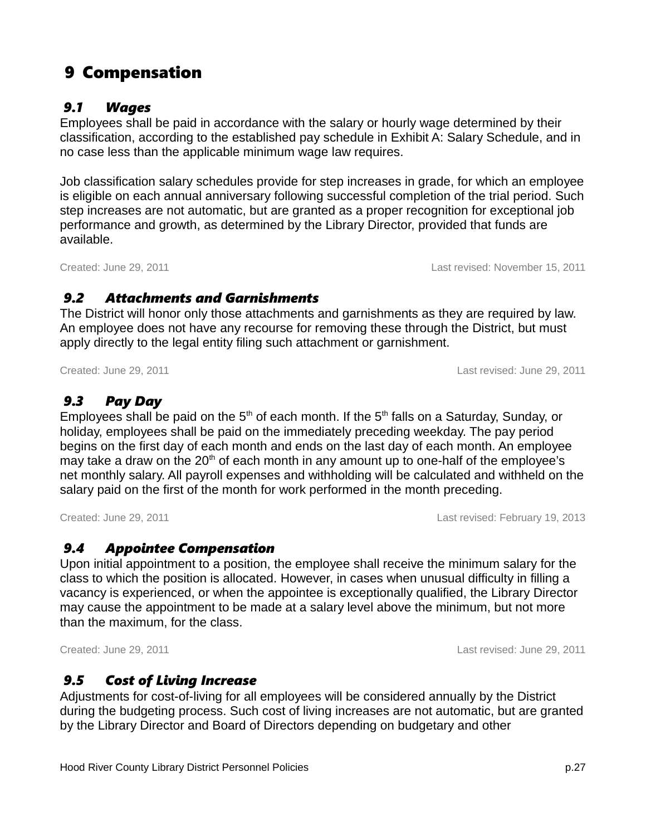# 9 Compensation

#### *9.1 Wages*

Employees shall be paid in accordance with the salary or hourly wage determined by their classification, according to the established pay schedule in Exhibit A: Salary Schedule, and in no case less than the applicable minimum wage law requires.

Job classification salary schedules provide for step increases in grade, for which an employee is eligible on each annual anniversary following successful completion of the trial period. Such step increases are not automatic, but are granted as a proper recognition for exceptional job performance and growth, as determined by the Library Director, provided that funds are available.

Created: June 29, 2011 Last revised: November 15, 2011

### *9.2 Attachments and Garnishments*

The District will honor only those attachments and garnishments as they are required by law. An employee does not have any recourse for removing these through the District, but must apply directly to the legal entity filing such attachment or garnishment.

### *9.3 Pay Day*

Employees shall be paid on the  $5<sup>th</sup>$  of each month. If the  $5<sup>th</sup>$  falls on a Saturday, Sunday, or holiday, employees shall be paid on the immediately preceding weekday. The pay period begins on the first day of each month and ends on the last day of each month. An employee may take a draw on the  $20<sup>th</sup>$  of each month in any amount up to one-half of the employee's net monthly salary. All payroll expenses and withholding will be calculated and withheld on the salary paid on the first of the month for work performed in the month preceding.

Created: June 29, 2011 Last revised: February 19, 2013

### *9.4 Appointee Compensation*

Upon initial appointment to a position, the employee shall receive the minimum salary for the class to which the position is allocated. However, in cases when unusual difficulty in filling a vacancy is experienced, or when the appointee is exceptionally qualified, the Library Director may cause the appointment to be made at a salary level above the minimum, but not more than the maximum, for the class.

#### *9.5 Cost of Living Increase*

Adjustments for cost-of-living for all employees will be considered annually by the District during the budgeting process. Such cost of living increases are not automatic, but are granted by the Library Director and Board of Directors depending on budgetary and other

Created: June 29, 2011 Last revised: June 29, 2011

Created: June 29, 2011 Last revised: June 29, 2011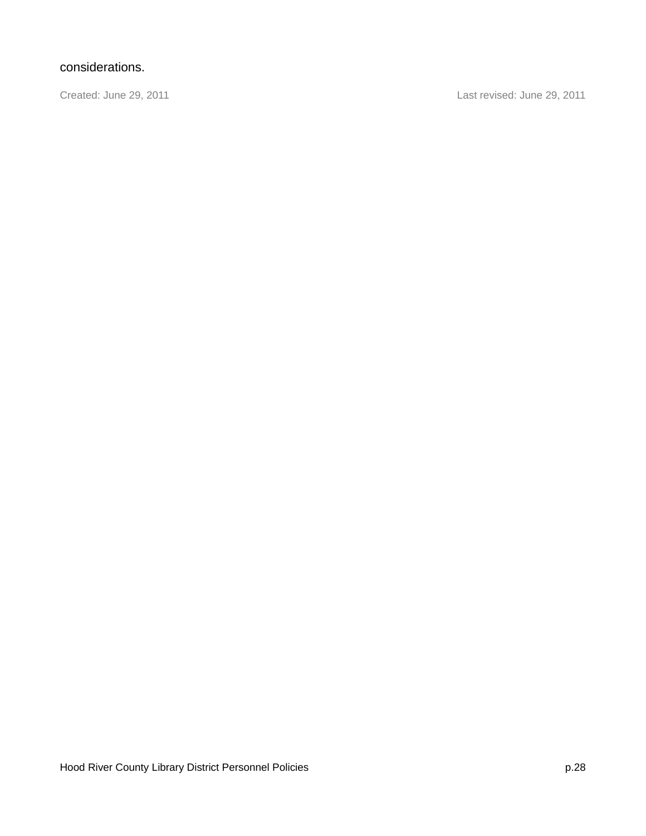### considerations.

Created: June 29, 2011 Last revised: June 29, 2011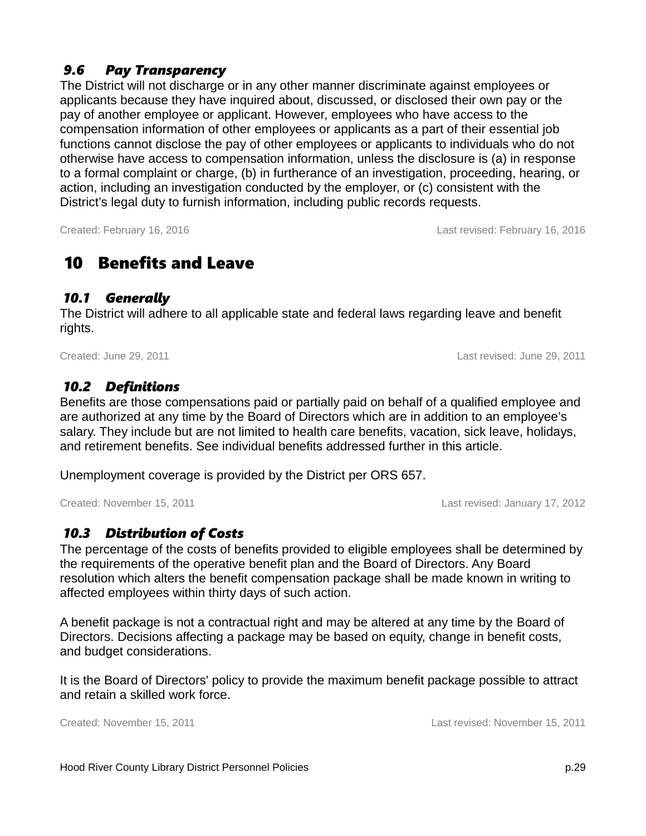### *9.6 Pay Transparency*

The District will not discharge or in any other manner discriminate against employees or applicants because they have inquired about, discussed, or disclosed their own pay or the pay of another employee or applicant. However, employees who have access to the compensation information of other employees or applicants as a part of their essential job functions cannot disclose the pay of other employees or applicants to individuals who do not otherwise have access to compensation information, unless the disclosure is (a) in response to a formal complaint or charge, (b) in furtherance of an investigation, proceeding, hearing, or action, including an investigation conducted by the employer, or (c) consistent with the District's legal duty to furnish information, including public records requests.

Created: February 16, 2016 Last revised: February 16, 2016

## <span id="page-31-0"></span>10 Benefits and Leave

#### *10.1 Generally*

The District will adhere to all applicable state and federal laws regarding leave and benefit rights.

Created: June 29, 2011 Last revised: June 29, 2011

### *10.2 Definitions*

Benefits are those compensations paid or partially paid on behalf of a qualified employee and are authorized at any time by the Board of Directors which are in addition to an employee's salary. They include but are not limited to health care benefits, vacation, sick leave, holidays, and retirement benefits. See individual benefits addressed further in this article.

Unemployment coverage is provided by the District per ORS 657.

Created: November 15, 2011 Last revised: January 17, 2012

### *10.3 Distribution of Costs*

The percentage of the costs of benefits provided to eligible employees shall be determined by the requirements of the operative benefit plan and the Board of Directors. Any Board resolution which alters the benefit compensation package shall be made known in writing to affected employees within thirty days of such action.

A benefit package is not a contractual right and may be altered at any time by the Board of Directors. Decisions affecting a package may be based on equity, change in benefit costs, and budget considerations.

It is the Board of Directors' policy to provide the maximum benefit package possible to attract and retain a skilled work force.

Created: November 15, 2011 Last revised: November 15, 2011

Hood River County Library District Personnel Policies p.29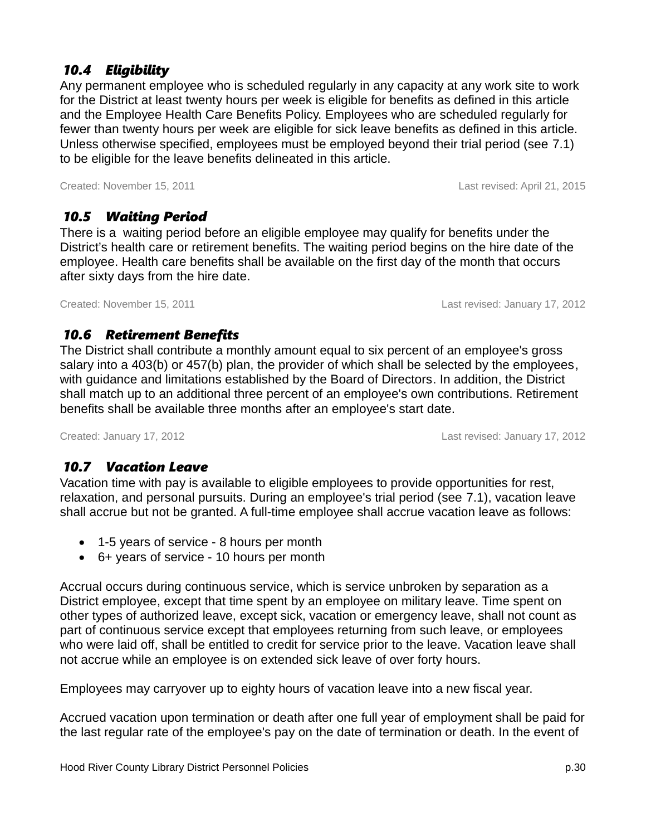### *10.4 Eligibility*

Any permanent employee who is scheduled regularly in any capacity at any work site to work for the District at least twenty hours per week is eligible for benefits as defined in this article and the Employee Health Care Benefits Policy. Employees who are scheduled regularly for fewer than twenty hours per week are eligible for sick leave benefits as defined in this article. Unless otherwise specified, employees must be employed beyond their trial period (see [7.1\)](#page-23-0) to be eligible for the leave benefits delineated in this article.

Created: November 15, 2011 Last revised: April 21, 2015

### *10.5 Waiting Period*

There is a waiting period before an eligible employee may qualify for benefits under the District's health care or retirement benefits. The waiting period begins on the hire date of the employee. Health care benefits shall be available on the first day of the month that occurs after sixty days from the hire date.

Created: November 15, 2011 Last revised: January 17, 2012

#### *10.6 Retirement Benefits*

The District shall contribute a monthly amount equal to six percent of an employee's gross salary into a 403(b) or 457(b) plan, the provider of which shall be selected by the employees, with guidance and limitations established by the Board of Directors. In addition, the District shall match up to an additional three percent of an employee's own contributions. Retirement benefits shall be available three months after an employee's start date.

Created: January 17, 2012 Last revised: January 17, 2012

### *10.7 Vacation Leave*

Vacation time with pay is available to eligible employees to provide opportunities for rest, relaxation, and personal pursuits. During an employee's trial period (see [7.1\)](#page-23-0), vacation leave shall accrue but not be granted. A full-time employee shall accrue vacation leave as follows:

- 1-5 years of service 8 hours per month
- 6+ years of service 10 hours per month

Accrual occurs during continuous service, which is service unbroken by separation as a District employee, except that time spent by an employee on military leave. Time spent on other types of authorized leave, except sick, vacation or emergency leave, shall not count as part of continuous service except that employees returning from such leave, or employees who were laid off, shall be entitled to credit for service prior to the leave. Vacation leave shall not accrue while an employee is on extended sick leave of over forty hours.

Employees may carryover up to eighty hours of vacation leave into a new fiscal year.

Accrued vacation upon termination or death after one full year of employment shall be paid for the last regular rate of the employee's pay on the date of termination or death. In the event of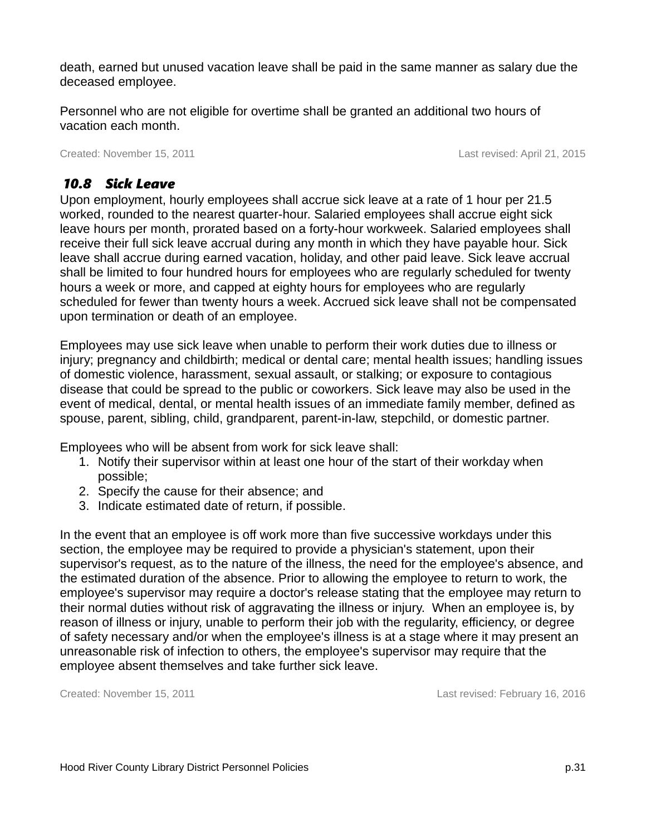death, earned but unused vacation leave shall be paid in the same manner as salary due the deceased employee.

Personnel who are not eligible for overtime shall be granted an additional two hours of vacation each month.

Created: November 15, 2011 Created: November 15, 2011

### *10.8 Sick Leave*

Upon employment, hourly employees shall accrue sick leave at a rate of 1 hour per 21.5 worked, rounded to the nearest quarter-hour. Salaried employees shall accrue eight sick leave hours per month, prorated based on a forty-hour workweek. Salaried employees shall receive their full sick leave accrual during any month in which they have payable hour. Sick leave shall accrue during earned vacation, holiday, and other paid leave. Sick leave accrual shall be limited to four hundred hours for employees who are regularly scheduled for twenty hours a week or more, and capped at eighty hours for employees who are regularly scheduled for fewer than twenty hours a week. Accrued sick leave shall not be compensated upon termination or death of an employee.

Employees may use sick leave when unable to perform their work duties due to illness or injury; pregnancy and childbirth; medical or dental care; mental health issues; handling issues of domestic violence, harassment, sexual assault, or stalking; or exposure to contagious disease that could be spread to the public or coworkers. Sick leave may also be used in the event of medical, dental, or mental health issues of an immediate family member, defined as spouse, parent, sibling, child, grandparent, parent-in-law, stepchild, or domestic partner.

Employees who will be absent from work for sick leave shall:

- 1. Notify their supervisor within at least one hour of the start of their workday when possible;
- 2. Specify the cause for their absence; and
- 3. Indicate estimated date of return, if possible.

In the event that an employee is off work more than five successive workdays under this section, the employee may be required to provide a physician's statement, upon their supervisor's request, as to the nature of the illness, the need for the employee's absence, and the estimated duration of the absence. Prior to allowing the employee to return to work, the employee's supervisor may require a doctor's release stating that the employee may return to their normal duties without risk of aggravating the illness or injury. When an employee is, by reason of illness or injury, unable to perform their job with the regularity, efficiency, or degree of safety necessary and/or when the employee's illness is at a stage where it may present an unreasonable risk of infection to others, the employee's supervisor may require that the employee absent themselves and take further sick leave.

Created: November 15, 2011 Last revised: February 16, 2016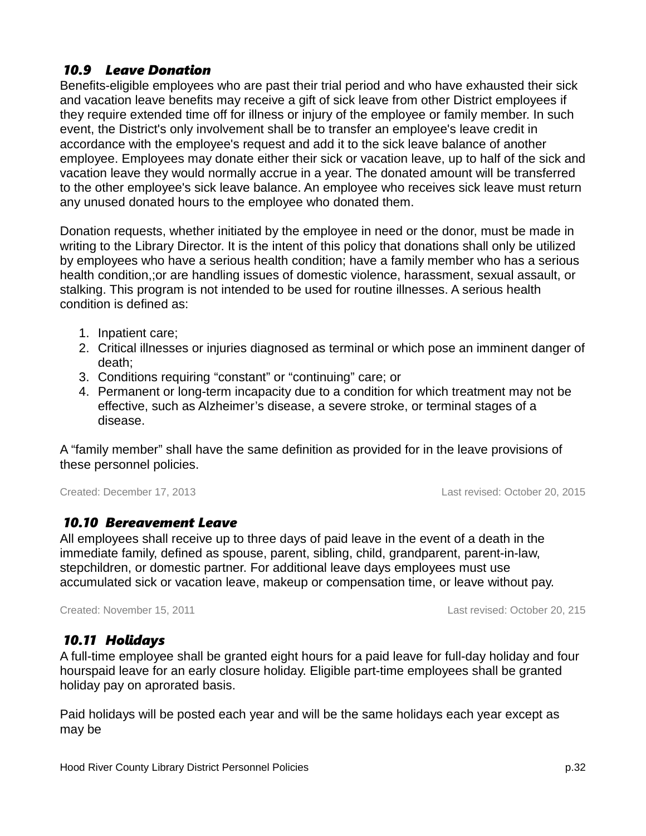### *10.9 Leave Donation*

Benefits-eligible employees who are past their trial period and who have exhausted their sick and vacation leave benefits may receive a gift of sick leave from other District employees if they require extended time off for illness or injury of the employee or family member. In such event, the District's only involvement shall be to transfer an employee's leave credit in accordance with the employee's request and add it to the sick leave balance of another employee. Employees may donate either their sick or vacation leave, up to half of the sick and vacation leave they would normally accrue in a year. The donated amount will be transferred to the other employee's sick leave balance. An employee who receives sick leave must return any unused donated hours to the employee who donated them.

Donation requests, whether initiated by the employee in need or the donor, must be made in writing to the Library Director. It is the intent of this policy that donations shall only be utilized by employees who have a serious health condition; have a family member who has a serious health condition,;or are handling issues of domestic violence, harassment, sexual assault, or stalking. This program is not intended to be used for routine illnesses. A serious health condition is defined as:

- 1. Inpatient care;
- 2. Critical illnesses or injuries diagnosed as terminal or which pose an imminent danger of death;
- 3. Conditions requiring "constant" or "continuing" care; or
- 4. Permanent or long-term incapacity due to a condition for which treatment may not be effective, such as Alzheimer's disease, a severe stroke, or terminal stages of a disease.

A "family member" shall have the same definition as provided for in the leave provisions of these personnel policies.

Created: December 17, 2013 Last revised: October 20, 2015

#### *10.10 Bereavement Leave*

All employees shall receive up to three days of paid leave in the event of a death in the immediate family, defined as spouse, parent, sibling, child, grandparent, parent-in-law, stepchildren, or domestic partner. For additional leave days employees must use accumulated sick or vacation leave, makeup or compensation time, or leave without pay.

Created: November 15, 2011 Last revised: October 20, 215

### *10.11 Holidays*

A full-time employee shall be granted eight hours for a paid leave for full-day holiday and four hourspaid leave for an early closure holiday. Eligible part-time employees shall be granted holiday pay on aprorated basis.

Paid holidays will be posted each year and will be the same holidays each year except as may be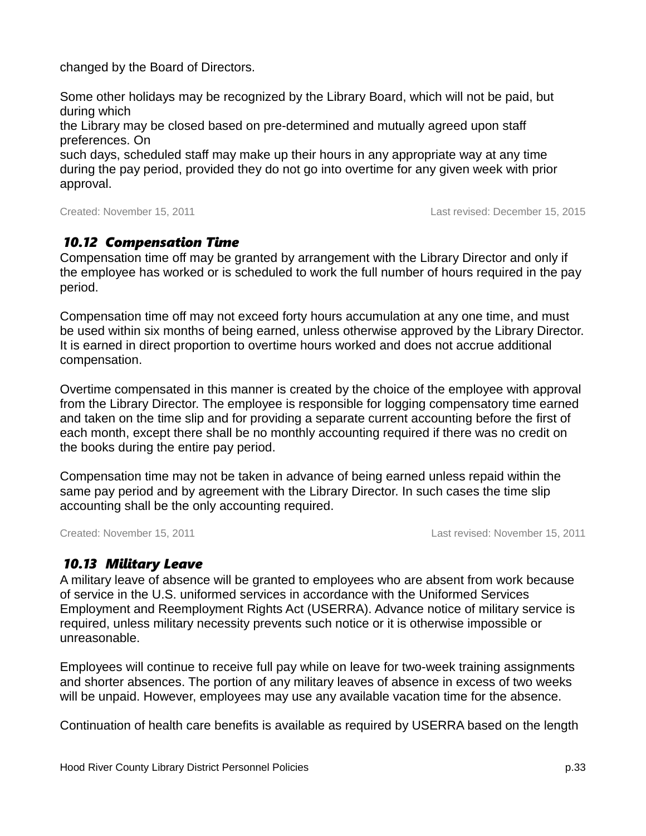changed by the Board of Directors.

Some other holidays may be recognized by the Library Board, which will not be paid, but during which

the Library may be closed based on pre-determined and mutually agreed upon staff preferences. On

such days, scheduled staff may make up their hours in any appropriate way at any time during the pay period, provided they do not go into overtime for any given week with prior approval.

Created: November 15, 2011 Last revised: December 15, 2015

#### *10.12 Compensation Time*

Compensation time off may be granted by arrangement with the Library Director and only if the employee has worked or is scheduled to work the full number of hours required in the pay period.

Compensation time off may not exceed forty hours accumulation at any one time, and must be used within six months of being earned, unless otherwise approved by the Library Director. It is earned in direct proportion to overtime hours worked and does not accrue additional compensation.

Overtime compensated in this manner is created by the choice of the employee with approval from the Library Director. The employee is responsible for logging compensatory time earned and taken on the time slip and for providing a separate current accounting before the first of each month, except there shall be no monthly accounting required if there was no credit on the books during the entire pay period.

Compensation time may not be taken in advance of being earned unless repaid within the same pay period and by agreement with the Library Director. In such cases the time slip accounting shall be the only accounting required.

Created: November 15, 2011 Last revised: November 15, 2011

### *10.13 Military Leave*

A military leave of absence will be granted to employees who are absent from work because of service in the U.S. uniformed services in accordance with the Uniformed Services Employment and Reemployment Rights Act (USERRA). Advance notice of military service is required, unless military necessity prevents such notice or it is otherwise impossible or unreasonable.

Employees will continue to receive full pay while on leave for two-week training assignments and shorter absences. The portion of any military leaves of absence in excess of two weeks will be unpaid. However, employees may use any available vacation time for the absence.

Continuation of health care benefits is available as required by USERRA based on the length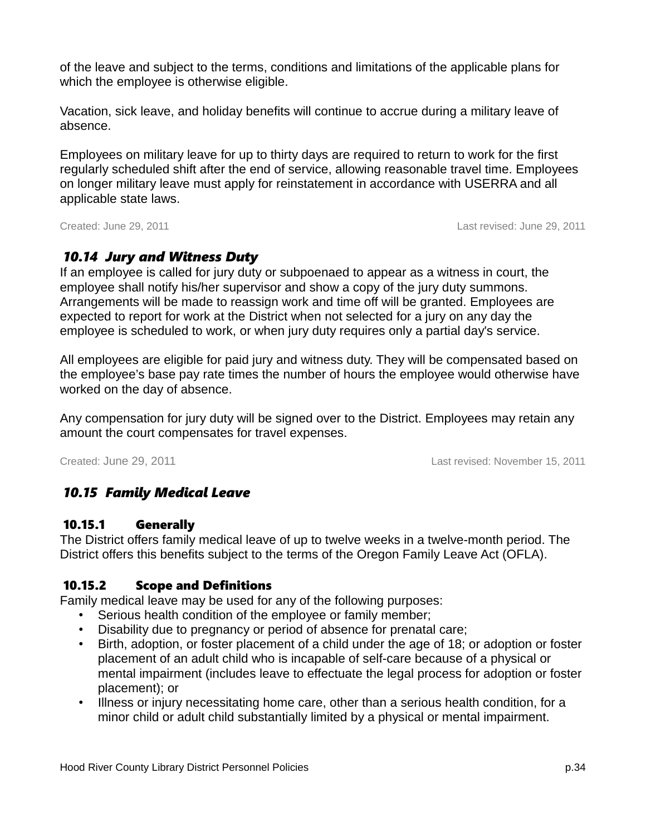of the leave and subject to the terms, conditions and limitations of the applicable plans for which the employee is otherwise eligible.

Vacation, sick leave, and holiday benefits will continue to accrue during a military leave of absence.

Employees on military leave for up to thirty days are required to return to work for the first regularly scheduled shift after the end of service, allowing reasonable travel time. Employees on longer military leave must apply for reinstatement in accordance with USERRA and all applicable state laws.

Created: June 29, 2011 Last revised: June 29, 2011

### *10.14 Jury and Witness Duty*

If an employee is called for jury duty or subpoenaed to appear as a witness in court, the employee shall notify his/her supervisor and show a copy of the jury duty summons. Arrangements will be made to reassign work and time off will be granted. Employees are expected to report for work at the District when not selected for a jury on any day the employee is scheduled to work, or when jury duty requires only a partial day's service.

All employees are eligible for paid jury and witness duty. They will be compensated based on the employee's base pay rate times the number of hours the employee would otherwise have worked on the day of absence.

Any compensation for jury duty will be signed over to the District. Employees may retain any amount the court compensates for travel expenses.

Created: June 29, 2011 Last revised: November 15, 2011

### *10.15 Family Medical Leave*

#### 10.15.1 Generally

The District offers family medical leave of up to twelve weeks in a twelve-month period. The District offers this benefits subject to the terms of the Oregon Family Leave Act (OFLA).

#### 10.15.2 Scope and Definitions

Family medical leave may be used for any of the following purposes:

- Serious health condition of the employee or family member;
- Disability due to pregnancy or period of absence for prenatal care;
- Birth, adoption, or foster placement of a child under the age of 18; or adoption or foster placement of an adult child who is incapable of self-care because of a physical or mental impairment (includes leave to effectuate the legal process for adoption or foster placement); or
- Illness or injury necessitating home care, other than a serious health condition, for a minor child or adult child substantially limited by a physical or mental impairment.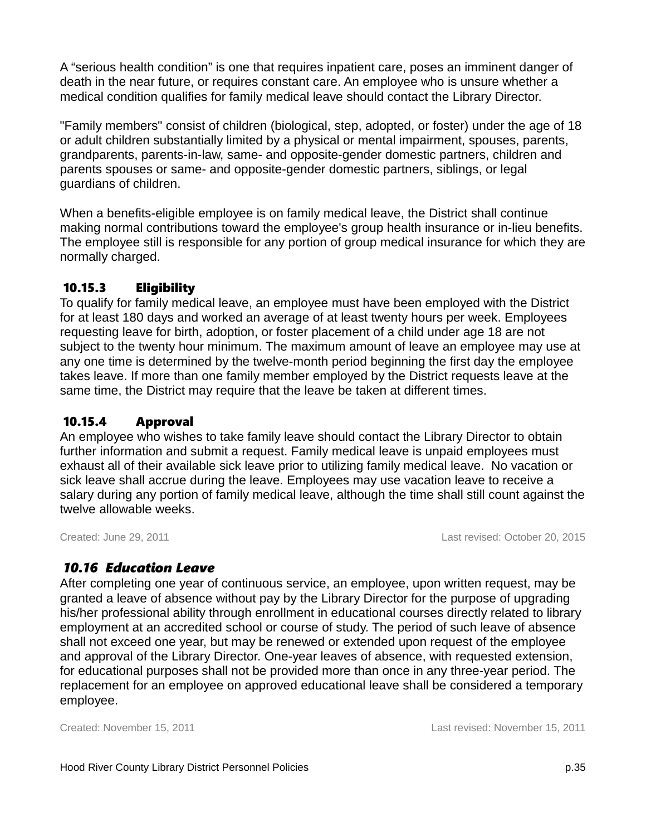A "serious health condition" is one that requires inpatient care, poses an imminent danger of death in the near future, or requires constant care. An employee who is unsure whether a medical condition qualifies for family medical leave should contact the Library Director.

"Family members" consist of children (biological, step, adopted, or foster) under the age of 18 or adult children substantially limited by a physical or mental impairment, spouses, parents, grandparents, parents-in-law, same- and opposite-gender domestic partners, children and parents spouses or same- and opposite-gender domestic partners, siblings, or legal guardians of children.

When a benefits-eligible employee is on family medical leave, the District shall continue making normal contributions toward the employee's group health insurance or in-lieu benefits. The employee still is responsible for any portion of group medical insurance for which they are normally charged.

#### 10.15.3 Eligibility

To qualify for family medical leave, an employee must have been employed with the District for at least 180 days and worked an average of at least twenty hours per week. Employees requesting leave for birth, adoption, or foster placement of a child under age 18 are not subject to the twenty hour minimum. The maximum amount of leave an employee may use at any one time is determined by the twelve-month period beginning the first day the employee takes leave. If more than one family member employed by the District requests leave at the same time, the District may require that the leave be taken at different times.

### 10.15.4 Approval

An employee who wishes to take family leave should contact the Library Director to obtain further information and submit a request. Family medical leave is unpaid employees must exhaust all of their available sick leave prior to utilizing family medical leave. No vacation or sick leave shall accrue during the leave. Employees may use vacation leave to receive a salary during any portion of family medical leave, although the time shall still count against the twelve allowable weeks.

Created: June 29, 2011 Last revised: October 20, 2015

### *10.16 Education Leave*

After completing one year of continuous service, an employee, upon written request, may be granted a leave of absence without pay by the Library Director for the purpose of upgrading his/her professional ability through enrollment in educational courses directly related to library employment at an accredited school or course of study. The period of such leave of absence shall not exceed one year, but may be renewed or extended upon request of the employee and approval of the Library Director. One-year leaves of absence, with requested extension, for educational purposes shall not be provided more than once in any three-year period. The replacement for an employee on approved educational leave shall be considered a temporary employee.

Created: November 15, 2011 Last revised: November 15, 2011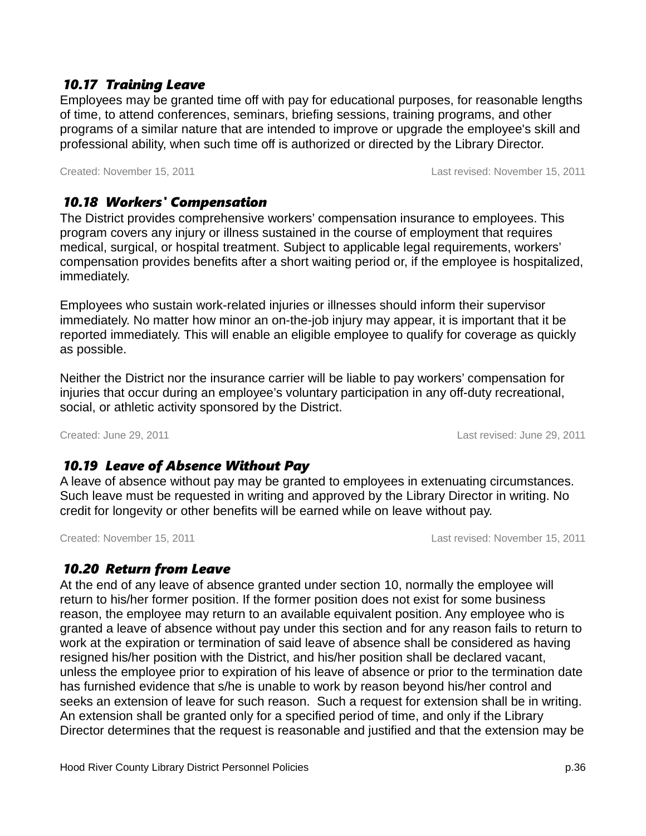#### *10.17 Training Leave*

Employees may be granted time off with pay for educational purposes, for reasonable lengths of time, to attend conferences, seminars, briefing sessions, training programs, and other programs of a similar nature that are intended to improve or upgrade the employee's skill and professional ability, when such time off is authorized or directed by the Library Director.

Created: November 15, 2011 Last revised: November 15, 2011

### *10.18 Workers' Compensation*

The District provides comprehensive workers' compensation insurance to employees. This program covers any injury or illness sustained in the course of employment that requires medical, surgical, or hospital treatment. Subject to applicable legal requirements, workers' compensation provides benefits after a short waiting period or, if the employee is hospitalized, immediately.

Employees who sustain work-related injuries or illnesses should inform their supervisor immediately. No matter how minor an on-the-job injury may appear, it is important that it be reported immediately. This will enable an eligible employee to qualify for coverage as quickly as possible.

Neither the District nor the insurance carrier will be liable to pay workers' compensation for injuries that occur during an employee's voluntary participation in any off-duty recreational, social, or athletic activity sponsored by the District.

Created: June 29, 2011 Last revised: June 29, 2011

### *10.19 Leave of Absence Without Pay*

A leave of absence without pay may be granted to employees in extenuating circumstances. Such leave must be requested in writing and approved by the Library Director in writing. No credit for longevity or other benefits will be earned while on leave without pay.

Created: November 15, 2011 Last revised: November 15, 2011

### *10.20 Return from Leave*

At the end of any leave of absence granted under section [10,](#page-31-0) normally the employee will return to his/her former position. If the former position does not exist for some business reason, the employee may return to an available equivalent position. Any employee who is granted a leave of absence without pay under this section and for any reason fails to return to work at the expiration or termination of said leave of absence shall be considered as having resigned his/her position with the District, and his/her position shall be declared vacant, unless the employee prior to expiration of his leave of absence or prior to the termination date has furnished evidence that s/he is unable to work by reason beyond his/her control and seeks an extension of leave for such reason. Such a request for extension shall be in writing. An extension shall be granted only for a specified period of time, and only if the Library Director determines that the request is reasonable and justified and that the extension may be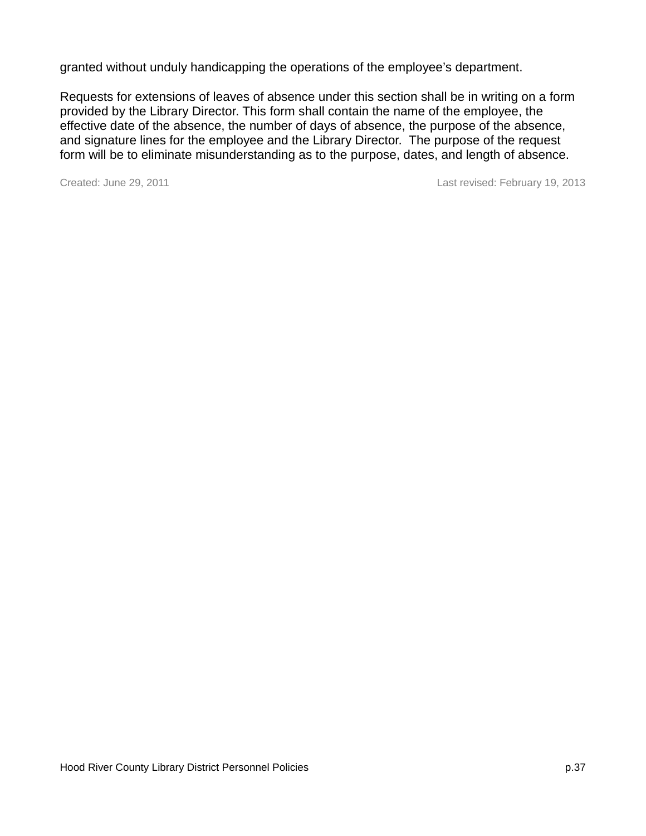granted without unduly handicapping the operations of the employee's department.

Requests for extensions of leaves of absence under this section shall be in writing on a form provided by the Library Director. This form shall contain the name of the employee, the effective date of the absence, the number of days of absence, the purpose of the absence, and signature lines for the employee and the Library Director. The purpose of the request form will be to eliminate misunderstanding as to the purpose, dates, and length of absence.

Created: June 29, 2011 2013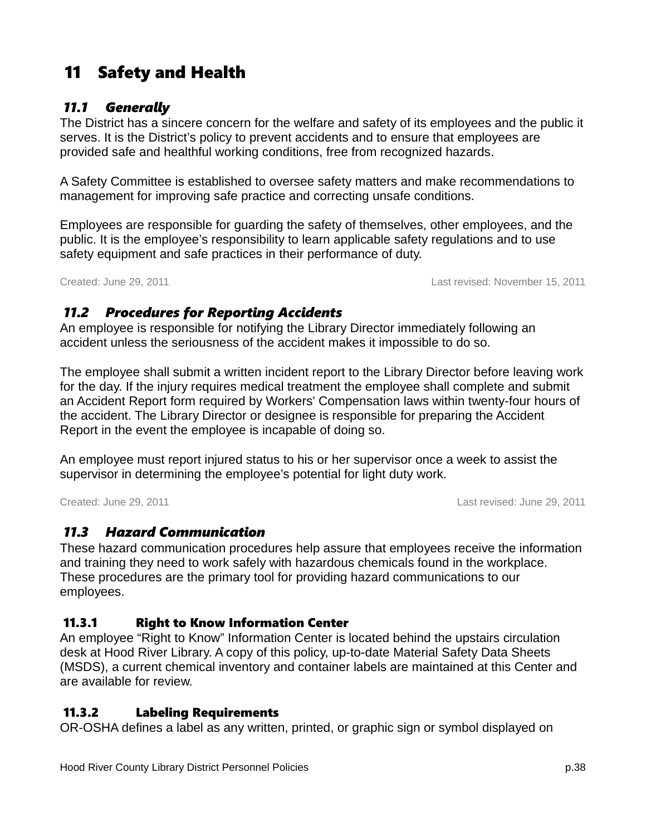# 11 Safety and Health

### *11.1 Generally*

The District has a sincere concern for the welfare and safety of its employees and the public it serves. It is the District's policy to prevent accidents and to ensure that employees are provided safe and healthful working conditions, free from recognized hazards.

A Safety Committee is established to oversee safety matters and make recommendations to management for improving safe practice and correcting unsafe conditions.

Employees are responsible for guarding the safety of themselves, other employees, and the public. It is the employee's responsibility to learn applicable safety regulations and to use safety equipment and safe practices in their performance of duty.

Created: June 29, 2011 Last revised: November 15, 2011

### *11.2 Procedures for Reporting Accidents*

An employee is responsible for notifying the Library Director immediately following an accident unless the seriousness of the accident makes it impossible to do so.

The employee shall submit a written incident report to the Library Director before leaving work for the day. If the injury requires medical treatment the employee shall complete and submit an Accident Report form required by Workers' Compensation laws within twenty-four hours of the accident. The Library Director or designee is responsible for preparing the Accident Report in the event the employee is incapable of doing so.

An employee must report injured status to his or her supervisor once a week to assist the supervisor in determining the employee's potential for light duty work.

Created: June 29, 2011 Last revised: June 29, 2011

### *11.3 Hazard Communication*

These hazard communication procedures help assure that employees receive the information and training they need to work safely with hazardous chemicals found in the workplace. These procedures are the primary tool for providing hazard communications to our employees.

### 11.3.1 Right to Know Information Center

An employee "Right to Know" Information Center is located behind the upstairs circulation desk at Hood River Library. A copy of this policy, up-to-date Material Safety Data Sheets (MSDS), a current chemical inventory and container labels are maintained at this Center and are available for review.

### 11.3.2 Labeling Requirements

OR-OSHA defines a label as any written, printed, or graphic sign or symbol displayed on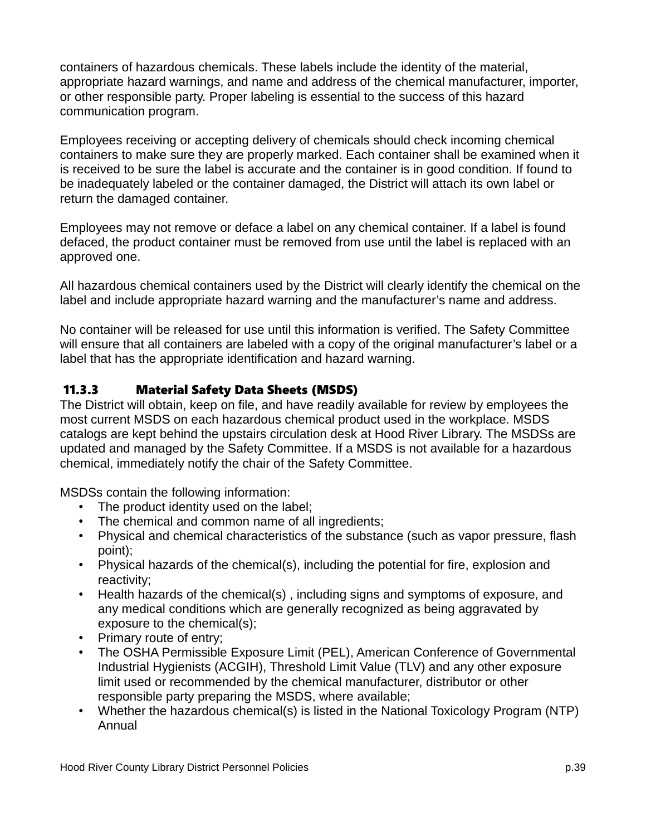containers of hazardous chemicals. These labels include the identity of the material, appropriate hazard warnings, and name and address of the chemical manufacturer, importer, or other responsible party. Proper labeling is essential to the success of this hazard communication program.

Employees receiving or accepting delivery of chemicals should check incoming chemical containers to make sure they are properly marked. Each container shall be examined when it is received to be sure the label is accurate and the container is in good condition. If found to be inadequately labeled or the container damaged, the District will attach its own label or return the damaged container.

Employees may not remove or deface a label on any chemical container. If a label is found defaced, the product container must be removed from use until the label is replaced with an approved one.

All hazardous chemical containers used by the District will clearly identify the chemical on the label and include appropriate hazard warning and the manufacturer's name and address.

No container will be released for use until this information is verified. The Safety Committee will ensure that all containers are labeled with a copy of the original manufacturer's label or a label that has the appropriate identification and hazard warning.

#### 11.3.3 Material Safety Data Sheets (MSDS)

The District will obtain, keep on file, and have readily available for review by employees the most current MSDS on each hazardous chemical product used in the workplace. MSDS catalogs are kept behind the upstairs circulation desk at Hood River Library. The MSDSs are updated and managed by the Safety Committee. If a MSDS is not available for a hazardous chemical, immediately notify the chair of the Safety Committee.

MSDSs contain the following information:

- The product identity used on the label;
- The chemical and common name of all ingredients;
- Physical and chemical characteristics of the substance (such as vapor pressure, flash point);
- Physical hazards of the chemical(s), including the potential for fire, explosion and reactivity;
- Health hazards of the chemical(s) , including signs and symptoms of exposure, and any medical conditions which are generally recognized as being aggravated by exposure to the chemical(s);
- Primary route of entry;
- The OSHA Permissible Exposure Limit (PEL), American Conference of Governmental Industrial Hygienists (ACGIH), Threshold Limit Value (TLV) and any other exposure limit used or recommended by the chemical manufacturer, distributor or other responsible party preparing the MSDS, where available;
- Whether the hazardous chemical(s) is listed in the National Toxicology Program (NTP) Annual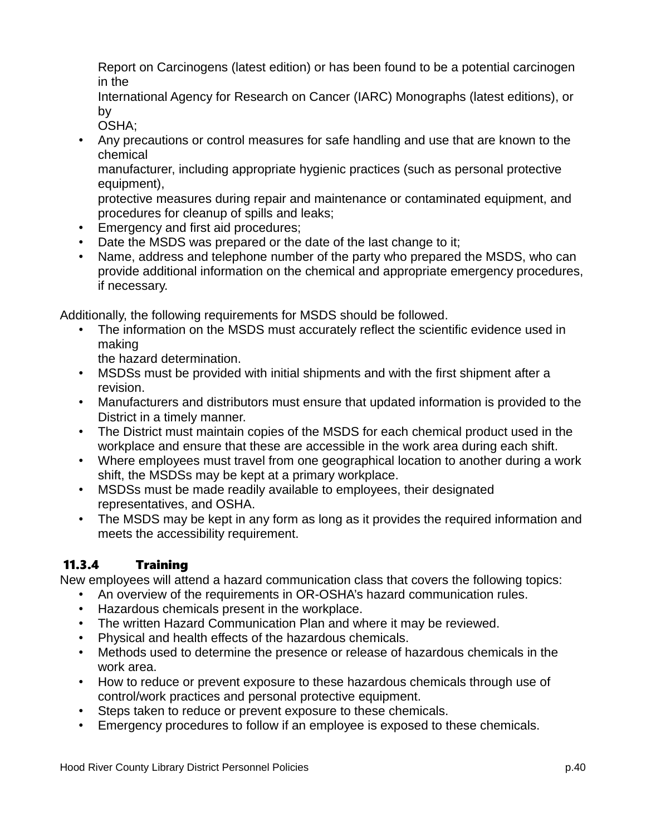Report on Carcinogens (latest edition) or has been found to be a potential carcinogen in the

International Agency for Research on Cancer (IARC) Monographs (latest editions), or by

OSHA;

• Any precautions or control measures for safe handling and use that are known to the chemical

manufacturer, including appropriate hygienic practices (such as personal protective equipment),

protective measures during repair and maintenance or contaminated equipment, and procedures for cleanup of spills and leaks;

- Emergency and first aid procedures;
- Date the MSDS was prepared or the date of the last change to it;
- Name, address and telephone number of the party who prepared the MSDS, who can provide additional information on the chemical and appropriate emergency procedures, if necessary.

Additionally, the following requirements for MSDS should be followed.

• The information on the MSDS must accurately reflect the scientific evidence used in making

the hazard determination.

- MSDSs must be provided with initial shipments and with the first shipment after a revision.
- Manufacturers and distributors must ensure that updated information is provided to the District in a timely manner.
- The District must maintain copies of the MSDS for each chemical product used in the workplace and ensure that these are accessible in the work area during each shift.
- Where employees must travel from one geographical location to another during a work shift, the MSDSs may be kept at a primary workplace.
- MSDSs must be made readily available to employees, their designated representatives, and OSHA.
- The MSDS may be kept in any form as long as it provides the required information and meets the accessibility requirement.

### 11.3.4 Training

New employees will attend a hazard communication class that covers the following topics:

- An overview of the requirements in OR-OSHA's hazard communication rules.
- Hazardous chemicals present in the workplace.
- The written Hazard Communication Plan and where it may be reviewed.
- Physical and health effects of the hazardous chemicals.
- Methods used to determine the presence or release of hazardous chemicals in the work area.
- How to reduce or prevent exposure to these hazardous chemicals through use of control/work practices and personal protective equipment.
- Steps taken to reduce or prevent exposure to these chemicals.
- Emergency procedures to follow if an employee is exposed to these chemicals.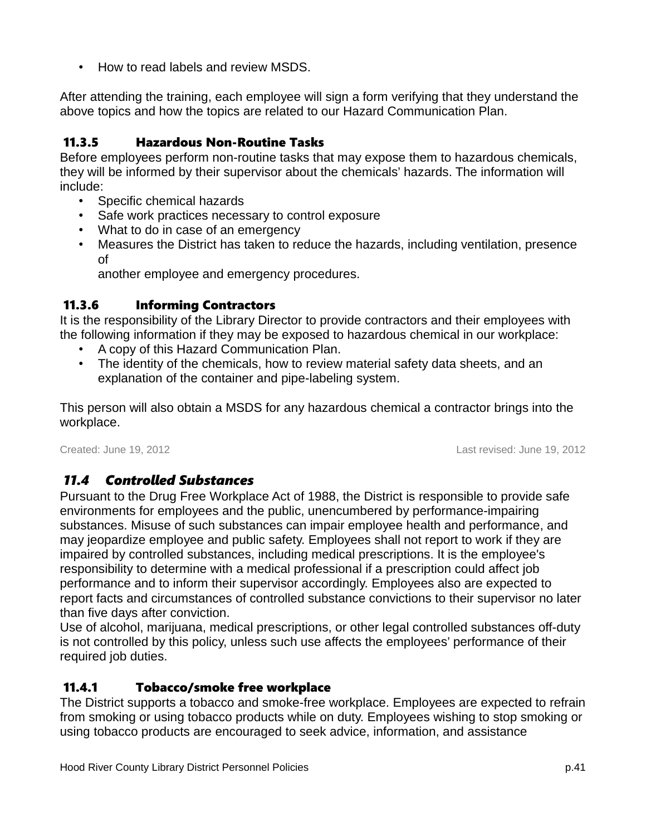• How to read labels and review MSDS.

After attending the training, each employee will sign a form verifying that they understand the above topics and how the topics are related to our Hazard Communication Plan.

### 11.3.5 Hazardous Non-Routine Tasks

Before employees perform non-routine tasks that may expose them to hazardous chemicals, they will be informed by their supervisor about the chemicals' hazards. The information will include:

- Specific chemical hazards
- Safe work practices necessary to control exposure
- What to do in case of an emergency
- Measures the District has taken to reduce the hazards, including ventilation, presence of

another employee and emergency procedures.

### 11.3.6 Informing Contractors

It is the responsibility of the Library Director to provide contractors and their employees with the following information if they may be exposed to hazardous chemical in our workplace:

- A copy of this Hazard Communication Plan.
- The identity of the chemicals, how to review material safety data sheets, and an explanation of the container and pipe-labeling system.

This person will also obtain a MSDS for any hazardous chemical a contractor brings into the workplace.

Created: June 19, 2012 Last revised: June 19, 2012

### *11.4 Controlled Substances*

Pursuant to the Drug Free Workplace Act of 1988, the District is responsible to provide safe environments for employees and the public, unencumbered by performance-impairing substances. Misuse of such substances can impair employee health and performance, and may jeopardize employee and public safety. Employees shall not report to work if they are impaired by controlled substances, including medical prescriptions. It is the employee's responsibility to determine with a medical professional if a prescription could affect job performance and to inform their supervisor accordingly. Employees also are expected to report facts and circumstances of controlled substance convictions to their supervisor no later than five days after conviction.

Use of alcohol, marijuana, medical prescriptions, or other legal controlled substances off-duty is not controlled by this policy, unless such use affects the employees' performance of their required job duties.

### 11.4.1 Tobacco/smoke free workplace

The District supports a tobacco and smoke-free workplace. Employees are expected to refrain from smoking or using tobacco products while on duty. Employees wishing to stop smoking or using tobacco products are encouraged to seek advice, information, and assistance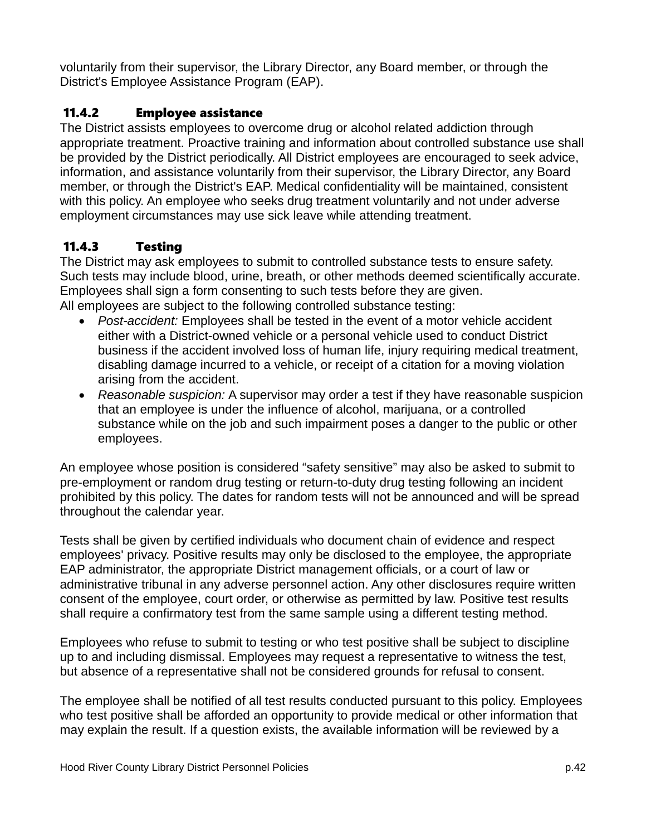voluntarily from their supervisor, the Library Director, any Board member, or through the District's Employee Assistance Program (EAP).

### 11.4.2 Employee assistance

The District assists employees to overcome drug or alcohol related addiction through appropriate treatment. Proactive training and information about controlled substance use shall be provided by the District periodically. All District employees are encouraged to seek advice, information, and assistance voluntarily from their supervisor, the Library Director, any Board member, or through the District's EAP. Medical confidentiality will be maintained, consistent with this policy. An employee who seeks drug treatment voluntarily and not under adverse employment circumstances may use sick leave while attending treatment.

### 11.4.3 Testing

The District may ask employees to submit to controlled substance tests to ensure safety. Such tests may include blood, urine, breath, or other methods deemed scientifically accurate. Employees shall sign a form consenting to such tests before they are given. All employees are subject to the following controlled substance testing:

- *Post-accident:* Employees shall be tested in the event of a motor vehicle accident either with a District-owned vehicle or a personal vehicle used to conduct District business if the accident involved loss of human life, injury requiring medical treatment, disabling damage incurred to a vehicle, or receipt of a citation for a moving violation arising from the accident.
- *Reasonable suspicion:* A supervisor may order a test if they have reasonable suspicion that an employee is under the influence of alcohol, marijuana, or a controlled substance while on the job and such impairment poses a danger to the public or other employees.

An employee whose position is considered "safety sensitive" may also be asked to submit to pre-employment or random drug testing or return-to-duty drug testing following an incident prohibited by this policy. The dates for random tests will not be announced and will be spread throughout the calendar year.

Tests shall be given by certified individuals who document chain of evidence and respect employees' privacy. Positive results may only be disclosed to the employee, the appropriate EAP administrator, the appropriate District management officials, or a court of law or administrative tribunal in any adverse personnel action. Any other disclosures require written consent of the employee, court order, or otherwise as permitted by law. Positive test results shall require a confirmatory test from the same sample using a different testing method.

Employees who refuse to submit to testing or who test positive shall be subject to discipline up to and including dismissal. Employees may request a representative to witness the test, but absence of a representative shall not be considered grounds for refusal to consent.

The employee shall be notified of all test results conducted pursuant to this policy. Employees who test positive shall be afforded an opportunity to provide medical or other information that may explain the result. If a question exists, the available information will be reviewed by a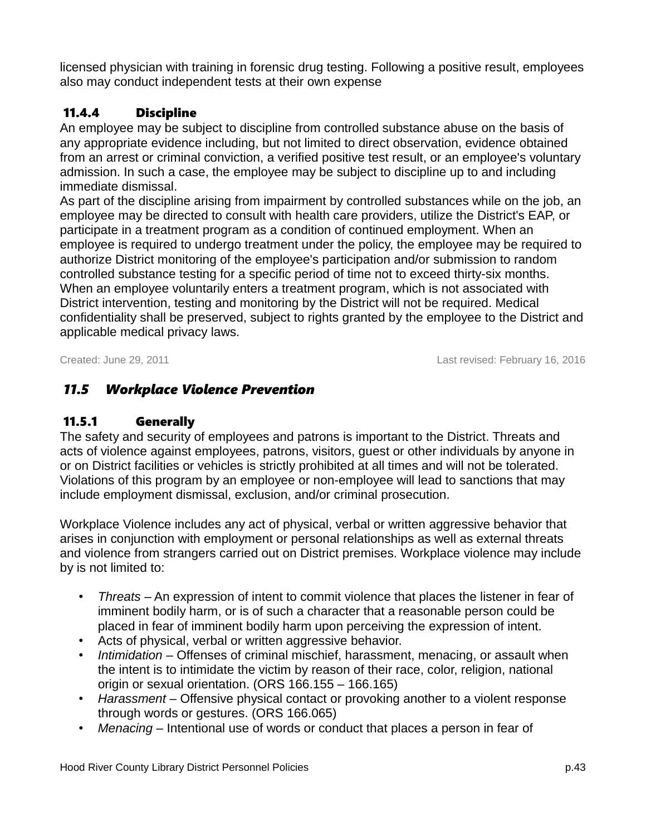licensed physician with training in forensic drug testing. Following a positive result, employees also may conduct independent tests at their own expense

### 11.4.4 Discipline

An employee may be subject to discipline from controlled substance abuse on the basis of any appropriate evidence including, but not limited to direct observation, evidence obtained from an arrest or criminal conviction, a verified positive test result, or an employee's voluntary admission. In such a case, the employee may be subject to discipline up to and including immediate dismissal.

As part of the discipline arising from impairment by controlled substances while on the job, an employee may be directed to consult with health care providers, utilize the District's EAP, or participate in a treatment program as a condition of continued employment. When an employee is required to undergo treatment under the policy, the employee may be required to authorize District monitoring of the employee's participation and/or submission to random controlled substance testing for a specific period of time not to exceed thirty-six months. When an employee voluntarily enters a treatment program, which is not associated with District intervention, testing and monitoring by the District will not be required. Medical confidentiality shall be preserved, subject to rights granted by the employee to the District and applicable medical privacy laws.

Created: June 29, 2011 Last revised: February 16, 2016

### *11.5 Workplace Violence Prevention*

#### 11.5.1 Generally

The safety and security of employees and patrons is important to the District. Threats and acts of violence against employees, patrons, visitors, guest or other individuals by anyone in or on District facilities or vehicles is strictly prohibited at all times and will not be tolerated. Violations of this program by an employee or non-employee will lead to sanctions that may include employment dismissal, exclusion, and/or criminal prosecution.

Workplace Violence includes any act of physical, verbal or written aggressive behavior that arises in conjunction with employment or personal relationships as well as external threats and violence from strangers carried out on District premises. Workplace violence may include by is not limited to:

- *Threats* An expression of intent to commit violence that places the listener in fear of imminent bodily harm, or is of such a character that a reasonable person could be placed in fear of imminent bodily harm upon perceiving the expression of intent.
- Acts of physical, verbal or written aggressive behavior.
- *Intimidation* Offenses of criminal mischief, harassment, menacing, or assault when the intent is to intimidate the victim by reason of their race, color, religion, national origin or sexual orientation. (ORS 166.155 – 166.165)
- *Harassment* Offensive physical contact or provoking another to a violent response through words or gestures. (ORS 166.065)
- *Menacing* Intentional use of words or conduct that places a person in fear of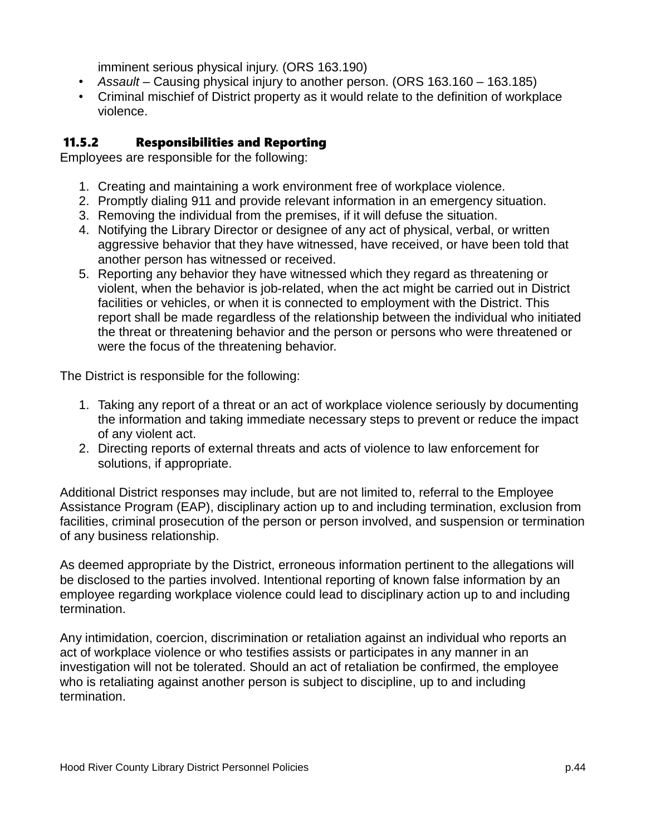imminent serious physical injury. (ORS 163.190)

- *Assault* Causing physical injury to another person. (ORS 163.160 163.185)
- Criminal mischief of District property as it would relate to the definition of workplace violence.

### 11.5.2 Responsibilities and Reporting

Employees are responsible for the following:

- 1. Creating and maintaining a work environment free of workplace violence.
- 2. Promptly dialing 911 and provide relevant information in an emergency situation.
- 3. Removing the individual from the premises, if it will defuse the situation.
- 4. Notifying the Library Director or designee of any act of physical, verbal, or written aggressive behavior that they have witnessed, have received, or have been told that another person has witnessed or received.
- 5. Reporting any behavior they have witnessed which they regard as threatening or violent, when the behavior is job-related, when the act might be carried out in District facilities or vehicles, or when it is connected to employment with the District. This report shall be made regardless of the relationship between the individual who initiated the threat or threatening behavior and the person or persons who were threatened or were the focus of the threatening behavior.

The District is responsible for the following:

- 1. Taking any report of a threat or an act of workplace violence seriously by documenting the information and taking immediate necessary steps to prevent or reduce the impact of any violent act.
- 2. Directing reports of external threats and acts of violence to law enforcement for solutions, if appropriate.

Additional District responses may include, but are not limited to, referral to the Employee Assistance Program (EAP), disciplinary action up to and including termination, exclusion from facilities, criminal prosecution of the person or person involved, and suspension or termination of any business relationship.

As deemed appropriate by the District, erroneous information pertinent to the allegations will be disclosed to the parties involved. Intentional reporting of known false information by an employee regarding workplace violence could lead to disciplinary action up to and including termination.

Any intimidation, coercion, discrimination or retaliation against an individual who reports an act of workplace violence or who testifies assists or participates in any manner in an investigation will not be tolerated. Should an act of retaliation be confirmed, the employee who is retaliating against another person is subject to discipline, up to and including termination.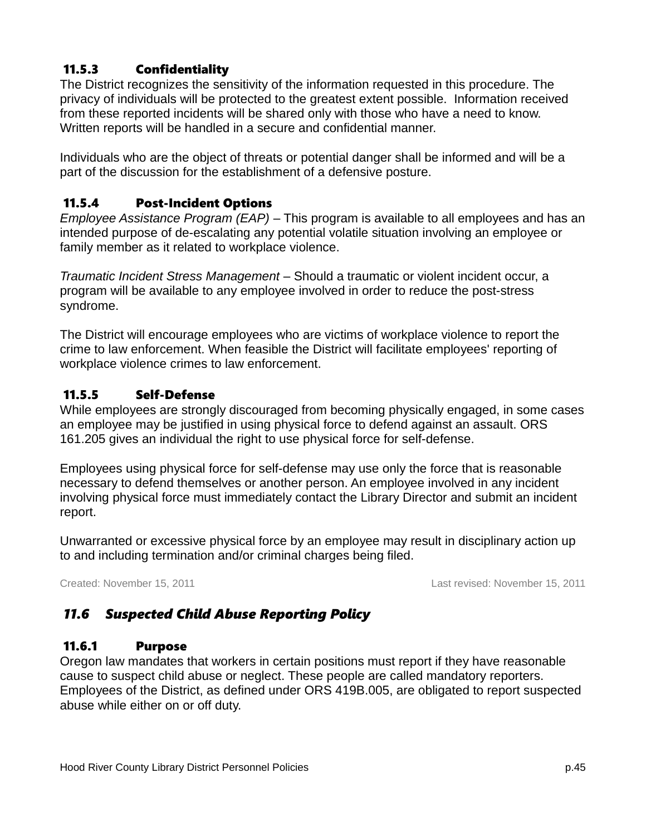### 11.5.3 Confidentiality

The District recognizes the sensitivity of the information requested in this procedure. The privacy of individuals will be protected to the greatest extent possible. Information received from these reported incidents will be shared only with those who have a need to know. Written reports will be handled in a secure and confidential manner.

Individuals who are the object of threats or potential danger shall be informed and will be a part of the discussion for the establishment of a defensive posture.

### 11.5.4 Post-Incident Options

*Employee Assistance Program (EAP)* – This program is available to all employees and has an intended purpose of de-escalating any potential volatile situation involving an employee or family member as it related to workplace violence.

*Traumatic Incident Stress Management* – Should a traumatic or violent incident occur, a program will be available to any employee involved in order to reduce the post-stress syndrome.

The District will encourage employees who are victims of workplace violence to report the crime to law enforcement. When feasible the District will facilitate employees' reporting of workplace violence crimes to law enforcement.

### 11.5.5 Self-Defense

While employees are strongly discouraged from becoming physically engaged, in some cases an employee may be justified in using physical force to defend against an assault. ORS 161.205 gives an individual the right to use physical force for self-defense.

Employees using physical force for self-defense may use only the force that is reasonable necessary to defend themselves or another person. An employee involved in any incident involving physical force must immediately contact the Library Director and submit an incident report.

Unwarranted or excessive physical force by an employee may result in disciplinary action up to and including termination and/or criminal charges being filed.

Created: November 15, 2011 Last revised: November 15, 2011

### *11.6 Suspected Child Abuse Reporting Policy*

### 11.6.1 Purpose

Oregon law mandates that workers in certain positions must report if they have reasonable cause to suspect child abuse or neglect. These people are called mandatory reporters. Employees of the District, as defined under ORS 419B.005, are obligated to report suspected abuse while either on or off duty.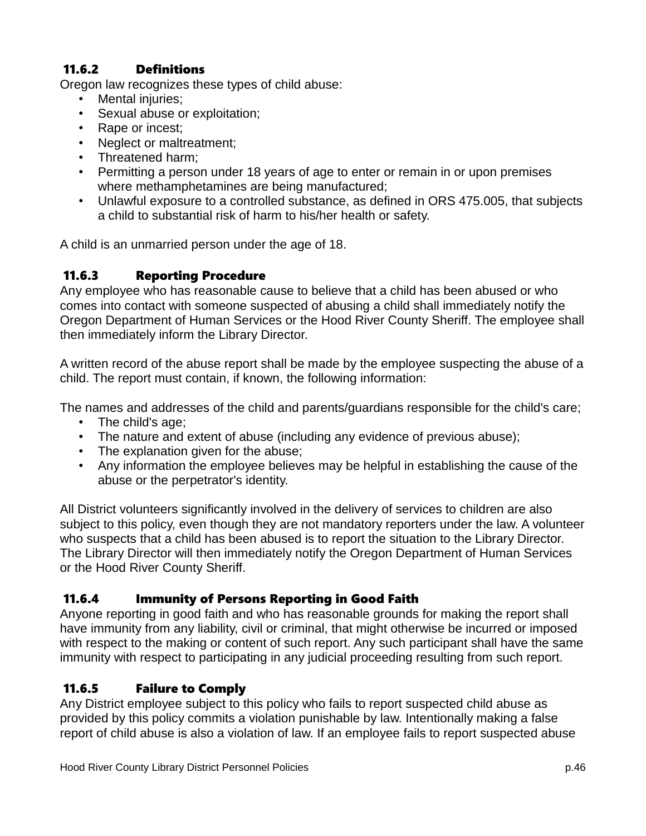### 11.6.2 Definitions

Oregon law recognizes these types of child abuse:

- Mental injuries;
- Sexual abuse or exploitation;
- Rape or incest;
- Neglect or maltreatment;
- Threatened harm;
- Permitting a person under 18 years of age to enter or remain in or upon premises where methamphetamines are being manufactured;
- Unlawful exposure to a controlled substance, as defined in ORS 475.005, that subjects a child to substantial risk of harm to his/her health or safety.

A child is an unmarried person under the age of 18.

#### 11.6.3 Reporting Procedure

Any employee who has reasonable cause to believe that a child has been abused or who comes into contact with someone suspected of abusing a child shall immediately notify the Oregon Department of Human Services or the Hood River County Sheriff. The employee shall then immediately inform the Library Director.

A written record of the abuse report shall be made by the employee suspecting the abuse of a child. The report must contain, if known, the following information:

The names and addresses of the child and parents/guardians responsible for the child's care;

- The child's age;
- The nature and extent of abuse (including any evidence of previous abuse);
- The explanation given for the abuse;
- Any information the employee believes may be helpful in establishing the cause of the abuse or the perpetrator's identity.

All District volunteers significantly involved in the delivery of services to children are also subject to this policy, even though they are not mandatory reporters under the law. A volunteer who suspects that a child has been abused is to report the situation to the Library Director. The Library Director will then immediately notify the Oregon Department of Human Services or the Hood River County Sheriff.

### 11.6.4 Immunity of Persons Reporting in Good Faith

Anyone reporting in good faith and who has reasonable grounds for making the report shall have immunity from any liability, civil or criminal, that might otherwise be incurred or imposed with respect to the making or content of such report. Any such participant shall have the same immunity with respect to participating in any judicial proceeding resulting from such report.

### 11.6.5 Failure to Comply

Any District employee subject to this policy who fails to report suspected child abuse as provided by this policy commits a violation punishable by law. Intentionally making a false report of child abuse is also a violation of law. If an employee fails to report suspected abuse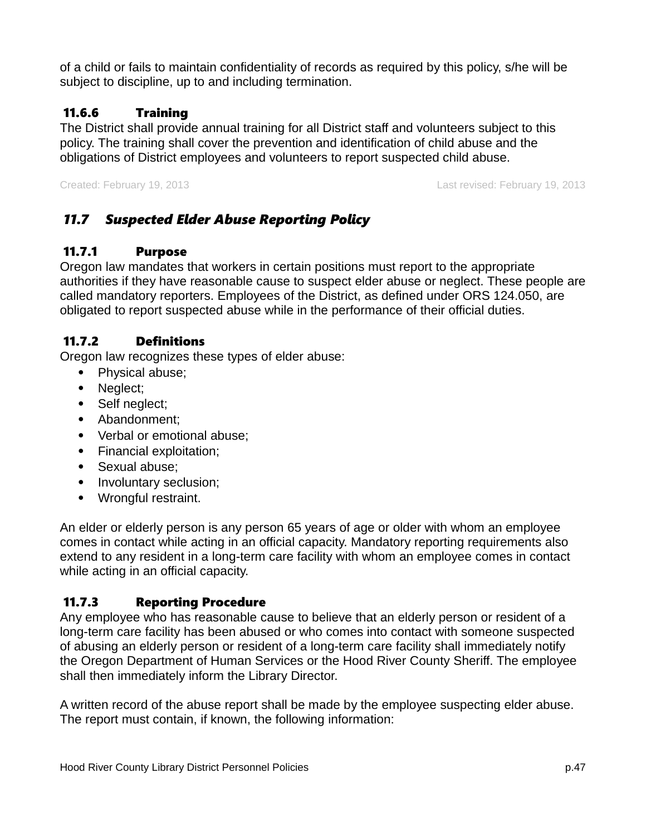of a child or fails to maintain confidentiality of records as required by this policy, s/he will be subject to discipline, up to and including termination.

### 11.6.6 Training

The District shall provide annual training for all District staff and volunteers subject to this policy. The training shall cover the prevention and identification of child abuse and the obligations of District employees and volunteers to report suspected child abuse.

Created: February 19, 2013 Last revised: February 19, 2013

### *11.7 Suspected Elder Abuse Reporting Policy*

### 11.7.1 Purpose

Oregon law mandates that workers in certain positions must report to the appropriate authorities if they have reasonable cause to suspect elder abuse or neglect. These people are called mandatory reporters. Employees of the District, as defined under ORS 124.050, are obligated to report suspected abuse while in the performance of their official duties.

### 11.7.2 Definitions

Oregon law recognizes these types of elder abuse:

- Physical abuse;
- Neglect;
- Self neglect;
- Abandonment;
- Verbal or emotional abuse;
- Financial exploitation;
- Sexual abuse:
- Involuntary seclusion;
- Wrongful restraint.

An elder or elderly person is any person 65 years of age or older with whom an employee comes in contact while acting in an official capacity. Mandatory reporting requirements also extend to any resident in a long-term care facility with whom an employee comes in contact while acting in an official capacity.

### 11.7.3 Reporting Procedure

Any employee who has reasonable cause to believe that an elderly person or resident of a long-term care facility has been abused or who comes into contact with someone suspected of abusing an elderly person or resident of a long-term care facility shall immediately notify the Oregon Department of Human Services or the Hood River County Sheriff. The employee shall then immediately inform the Library Director.

A written record of the abuse report shall be made by the employee suspecting elder abuse. The report must contain, if known, the following information: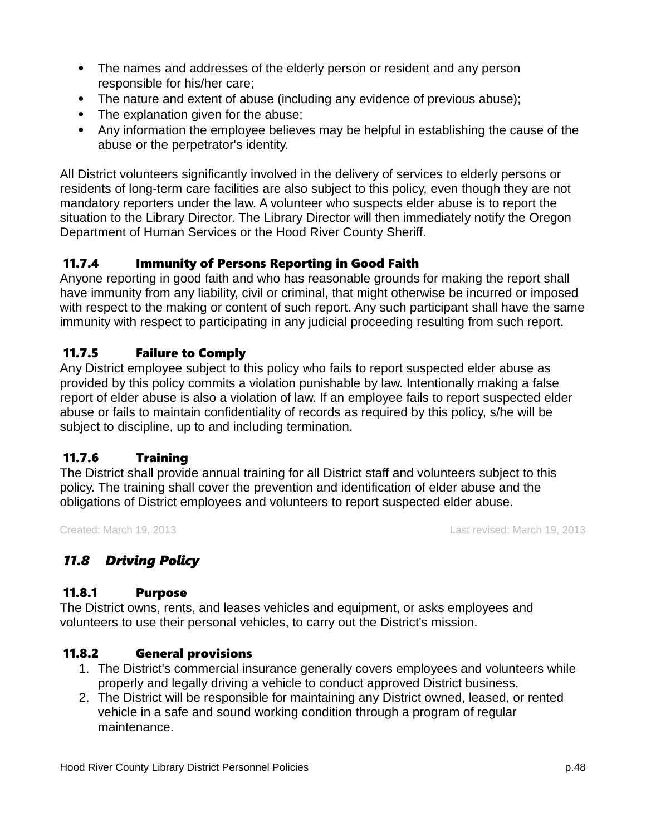- The names and addresses of the elderly person or resident and any person responsible for his/her care;
- The nature and extent of abuse (including any evidence of previous abuse);
- The explanation given for the abuse;
- Any information the employee believes may be helpful in establishing the cause of the abuse or the perpetrator's identity.

All District volunteers significantly involved in the delivery of services to elderly persons or residents of long-term care facilities are also subject to this policy, even though they are not mandatory reporters under the law. A volunteer who suspects elder abuse is to report the situation to the Library Director. The Library Director will then immediately notify the Oregon Department of Human Services or the Hood River County Sheriff.

### 11.7.4 Immunity of Persons Reporting in Good Faith

Anyone reporting in good faith and who has reasonable grounds for making the report shall have immunity from any liability, civil or criminal, that might otherwise be incurred or imposed with respect to the making or content of such report. Any such participant shall have the same immunity with respect to participating in any judicial proceeding resulting from such report.

#### 11.7.5 Failure to Comply

Any District employee subject to this policy who fails to report suspected elder abuse as provided by this policy commits a violation punishable by law. Intentionally making a false report of elder abuse is also a violation of law. If an employee fails to report suspected elder abuse or fails to maintain confidentiality of records as required by this policy, s/he will be subject to discipline, up to and including termination.

### 11.7.6 Training

The District shall provide annual training for all District staff and volunteers subject to this policy. The training shall cover the prevention and identification of elder abuse and the obligations of District employees and volunteers to report suspected elder abuse.

Created: March 19, 2013 Last revised: March 19, 2013

### *11.8 Driving Policy*

#### 11.8.1 Purpose

The District owns, rents, and leases vehicles and equipment, or asks employees and volunteers to use their personal vehicles, to carry out the District's mission.

### 11.8.2 General provisions

- 1. The District's commercial insurance generally covers employees and volunteers while properly and legally driving a vehicle to conduct approved District business.
- 2. The District will be responsible for maintaining any District owned, leased, or rented vehicle in a safe and sound working condition through a program of regular maintenance.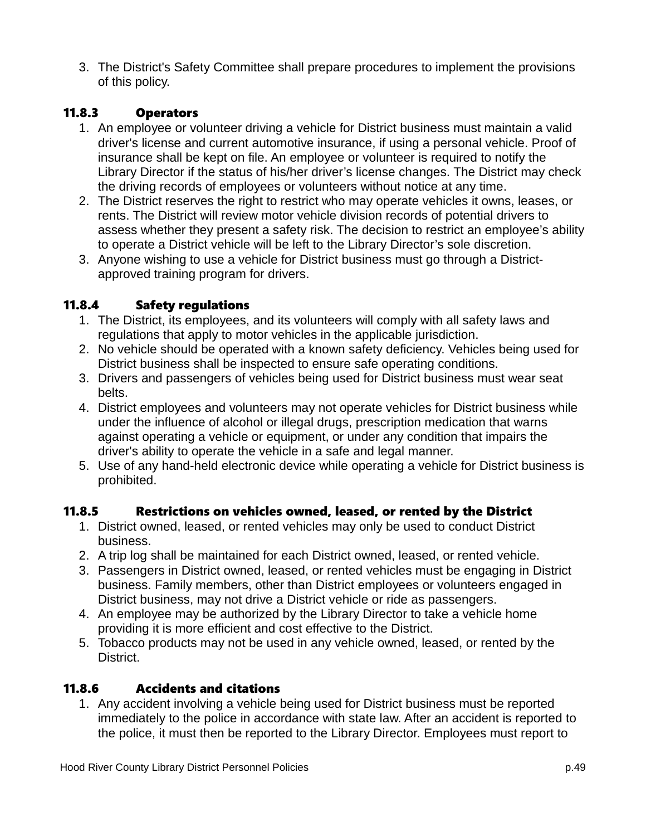3. The District's Safety Committee shall prepare procedures to implement the provisions of this policy.

### 11.8.3 Operators

- 1. An employee or volunteer driving a vehicle for District business must maintain a valid driver's license and current automotive insurance, if using a personal vehicle. Proof of insurance shall be kept on file. An employee or volunteer is required to notify the Library Director if the status of his/her driver's license changes. The District may check the driving records of employees or volunteers without notice at any time.
- 2. The District reserves the right to restrict who may operate vehicles it owns, leases, or rents. The District will review motor vehicle division records of potential drivers to assess whether they present a safety risk. The decision to restrict an employee's ability to operate a District vehicle will be left to the Library Director's sole discretion.
- 3. Anyone wishing to use a vehicle for District business must go through a Districtapproved training program for drivers.

#### 11.8.4 Safety regulations

- 1. The District, its employees, and its volunteers will comply with all safety laws and regulations that apply to motor vehicles in the applicable jurisdiction.
- 2. No vehicle should be operated with a known safety deficiency. Vehicles being used for District business shall be inspected to ensure safe operating conditions.
- 3. Drivers and passengers of vehicles being used for District business must wear seat belts.
- 4. District employees and volunteers may not operate vehicles for District business while under the influence of alcohol or illegal drugs, prescription medication that warns against operating a vehicle or equipment, or under any condition that impairs the driver's ability to operate the vehicle in a safe and legal manner.
- 5. Use of any hand-held electronic device while operating a vehicle for District business is prohibited.

#### 11.8.5 Restrictions on vehicles owned, leased, or rented by the District

- 1. District owned, leased, or rented vehicles may only be used to conduct District business.
- 2. A trip log shall be maintained for each District owned, leased, or rented vehicle.
- 3. Passengers in District owned, leased, or rented vehicles must be engaging in District business. Family members, other than District employees or volunteers engaged in District business, may not drive a District vehicle or ride as passengers.
- 4. An employee may be authorized by the Library Director to take a vehicle home providing it is more efficient and cost effective to the District.
- 5. Tobacco products may not be used in any vehicle owned, leased, or rented by the District.

#### 11.8.6 Accidents and citations

1. Any accident involving a vehicle being used for District business must be reported immediately to the police in accordance with state law. After an accident is reported to the police, it must then be reported to the Library Director. Employees must report to